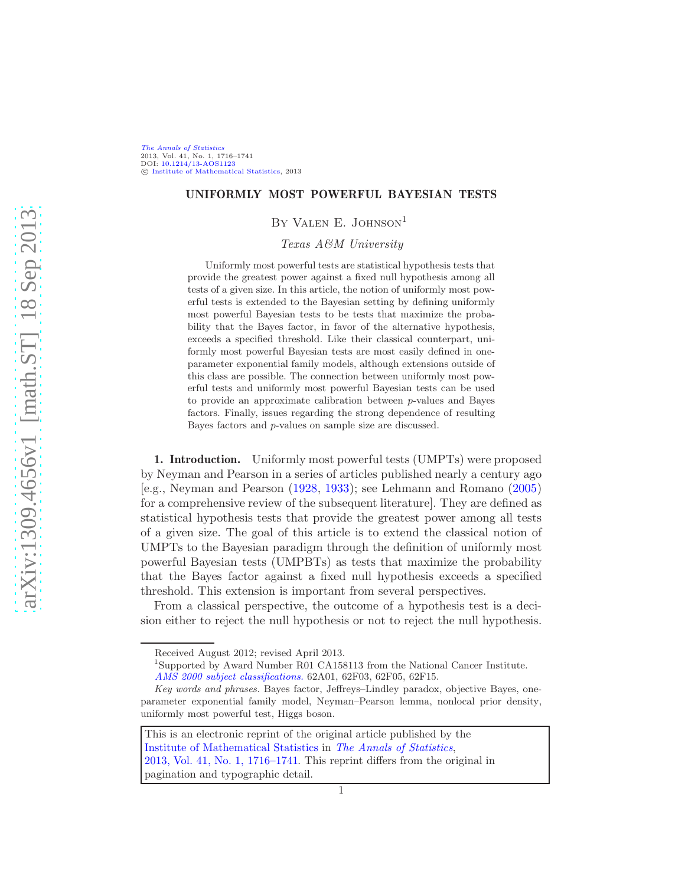[The Annals of Statistics](http://www.imstat.org/aos/) 2013, Vol. 41, No. 1, 1716–1741 DOI: [10.1214/13-AOS1123](http://dx.doi.org/10.1214/13-AOS1123) C [Institute of Mathematical Statistics,](http://www.imstat.org) 2013

## UNIFORMLY MOST POWERFUL BAYESIAN TESTS

BY VALEN E. JOHNSON<sup>1</sup>

Texas A&M University

Uniformly most powerful tests are statistical hypothesis tests that provide the greatest power against a fixed null hypothesis among all tests of a given size. In this article, the notion of uniformly most powerful tests is extended to the Bayesian setting by defining uniformly most powerful Bayesian tests to be tests that maximize the probability that the Bayes factor, in favor of the alternative hypothesis, exceeds a specified threshold. Like their classical counterpart, uniformly most powerful Bayesian tests are most easily defined in oneparameter exponential family models, although extensions outside of this class are possible. The connection between uniformly most powerful tests and uniformly most powerful Bayesian tests can be used to provide an approximate calibration between p-values and Bayes factors. Finally, issues regarding the strong dependence of resulting Bayes factors and p-values on sample size are discussed.

1. Introduction. Uniformly most powerful tests (UMPTs) were proposed by Neyman and Pearson in a series of articles published nearly a century ago [e.g., Neyman and Pearson [\(1928,](#page-25-0) [1933](#page-26-0)); see Lehmann and Romano [\(2005](#page-25-1)) for a comprehensive review of the subsequent literature]. They are defined as statistical hypothesis tests that provide the greatest power among all tests of a given size. The goal of this article is to extend the classical notion of UMPTs to the Bayesian paradigm through the definition of uniformly most powerful Bayesian tests (UMPBTs) as tests that maximize the probability that the Bayes factor against a fixed null hypothesis exceeds a specified threshold. This extension is important from several perspectives.

From a classical perspective, the outcome of a hypothesis test is a decision either to reject the null hypothesis or not to reject the null hypothesis.

This is an electronic reprint of the original article published by the [Institute of Mathematical Statistics](http://www.imstat.org) in [The Annals of Statistics](http://www.imstat.org/aos/), [2013, Vol. 41, No. 1, 1716–1741.](http://dx.doi.org/10.1214/13-AOS1123) This reprint differs from the original in pagination and typographic detail.

Received August 2012; revised April 2013.

<sup>1</sup> Supported by Award Number R01 CA158113 from the National Cancer Institute. *[AMS 2000 subject classifications.](http://www.ams.org/msc/)* 62A01, 62F03, 62F05, 62F15.

*Key words and phrases.* Bayes factor, Jeffreys–Lindley paradox, objective Bayes, oneparameter exponential family model, Neyman–Pearson lemma, nonlocal prior density, uniformly most powerful test, Higgs boson.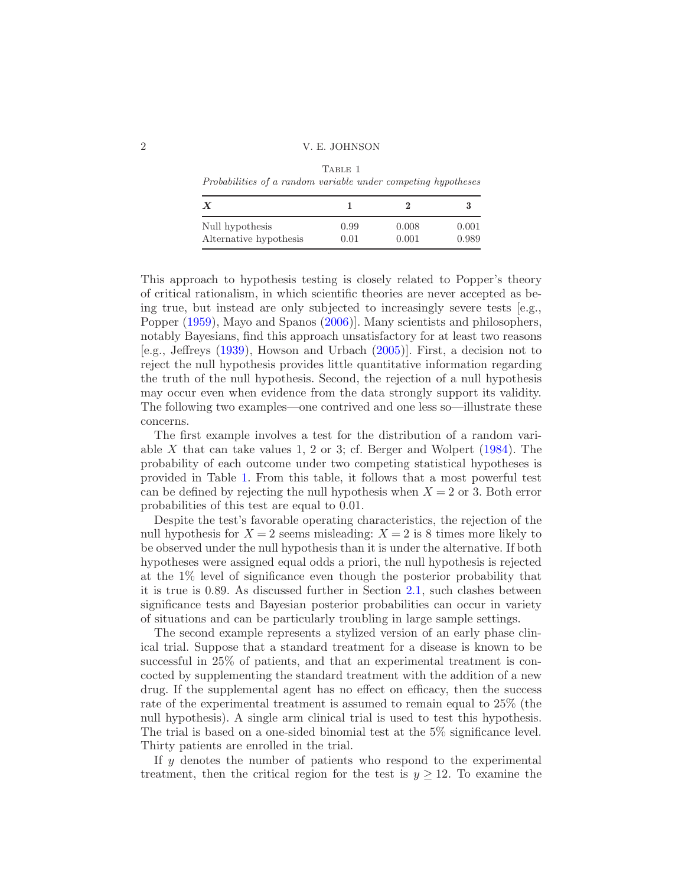<span id="page-1-0"></span>Table 1 *Probabilities of a random variable under competing hypotheses*

| Null hypothesis        | 0.99 | 0.008 | 0.001 |
|------------------------|------|-------|-------|
| Alternative hypothesis | 0.01 | 0.001 | 0.989 |

This approach to hypothesis testing is closely related to Popper's theory of critical rationalism, in which scientific theories are never accepted as being true, but instead are only subjected to increasingly severe tests [e.g., Popper [\(1959](#page-26-1)), Mayo and Spanos [\(2006](#page-25-2))]. Many scientists and philosophers, notably Bayesians, find this approach unsatisfactory for at least two reasons [e.g., Jeffreys [\(1939\)](#page-25-3), Howson and Urbach [\(2005](#page-25-4))]. First, a decision not to reject the null hypothesis provides little quantitative information regarding the truth of the null hypothesis. Second, the rejection of a null hypothesis may occur even when evidence from the data strongly support its validity. The following two examples—one contrived and one less so—illustrate these concerns.

The first example involves a test for the distribution of a random variable X that can take values 1, 2 or 3; cf. Berger and Wolpert [\(1984](#page-25-5)). The probability of each outcome under two competing statistical hypotheses is provided in Table [1.](#page-1-0) From this table, it follows that a most powerful test can be defined by rejecting the null hypothesis when  $X = 2$  or 3. Both error probabilities of this test are equal to 0.01.

Despite the test's favorable operating characteristics, the rejection of the null hypothesis for  $X = 2$  seems misleading:  $X = 2$  is 8 times more likely to be observed under the null hypothesis than it is under the alternative. If both hypotheses were assigned equal odds a priori, the null hypothesis is rejected at the 1% level of significance even though the posterior probability that it is true is 0.89. As discussed further in Section [2.1,](#page-8-0) such clashes between significance tests and Bayesian posterior probabilities can occur in variety of situations and can be particularly troubling in large sample settings.

The second example represents a stylized version of an early phase clinical trial. Suppose that a standard treatment for a disease is known to be successful in 25% of patients, and that an experimental treatment is concocted by supplementing the standard treatment with the addition of a new drug. If the supplemental agent has no effect on efficacy, then the success rate of the experimental treatment is assumed to remain equal to 25% (the null hypothesis). A single arm clinical trial is used to test this hypothesis. The trial is based on a one-sided binomial test at the 5% significance level. Thirty patients are enrolled in the trial.

If y denotes the number of patients who respond to the experimental treatment, then the critical region for the test is  $y \geq 12$ . To examine the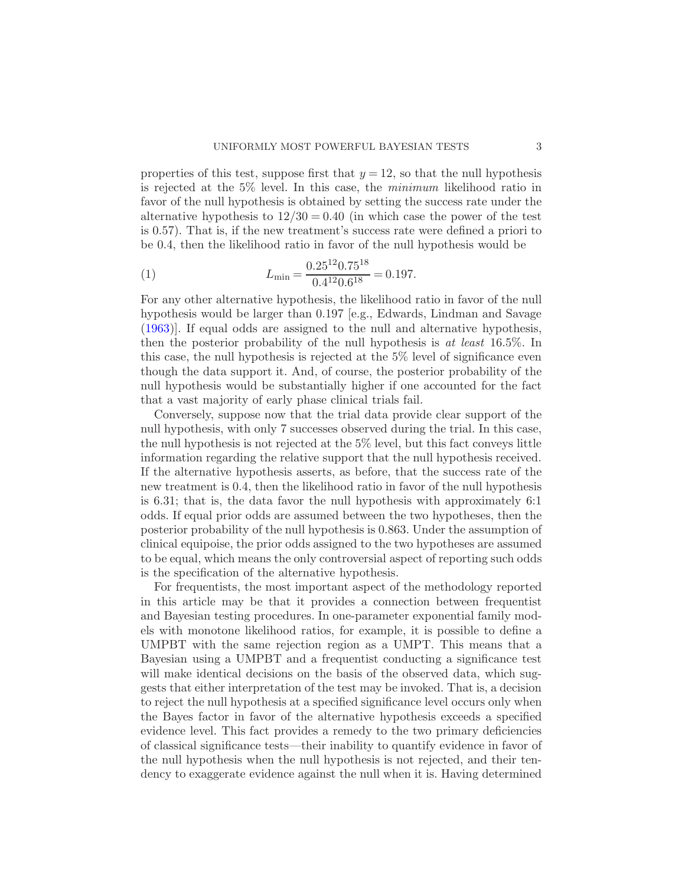properties of this test, suppose first that  $y = 12$ , so that the null hypothesis is rejected at the 5% level. In this case, the minimum likelihood ratio in favor of the null hypothesis is obtained by setting the success rate under the alternative hypothesis to  $12/30 = 0.40$  (in which case the power of the test is 0.57). That is, if the new treatment's success rate were defined a priori to be 0.4, then the likelihood ratio in favor of the null hypothesis would be

(1) 
$$
L_{\min} = \frac{0.25^{12} 0.75^{18}}{0.4^{12} 0.6^{18}} = 0.197.
$$

For any other alternative hypothesis, the likelihood ratio in favor of the null hypothesis would be larger than 0.197 [e.g., Edwards, Lindman and Savage [\(1963\)](#page-25-6)]. If equal odds are assigned to the null and alternative hypothesis, then the posterior probability of the null hypothesis is at least  $16.5\%$ . In this case, the null hypothesis is rejected at the 5% level of significance even though the data support it. And, of course, the posterior probability of the null hypothesis would be substantially higher if one accounted for the fact that a vast majority of early phase clinical trials fail.

Conversely, suppose now that the trial data provide clear support of the null hypothesis, with only 7 successes observed during the trial. In this case, the null hypothesis is not rejected at the 5% level, but this fact conveys little information regarding the relative support that the null hypothesis received. If the alternative hypothesis asserts, as before, that the success rate of the new treatment is 0.4, then the likelihood ratio in favor of the null hypothesis is 6.31; that is, the data favor the null hypothesis with approximately 6:1 odds. If equal prior odds are assumed between the two hypotheses, then the posterior probability of the null hypothesis is 0.863. Under the assumption of clinical equipoise, the prior odds assigned to the two hypotheses are assumed to be equal, which means the only controversial aspect of reporting such odds is the specification of the alternative hypothesis.

For frequentists, the most important aspect of the methodology reported in this article may be that it provides a connection between frequentist and Bayesian testing procedures. In one-parameter exponential family models with monotone likelihood ratios, for example, it is possible to define a UMPBT with the same rejection region as a UMPT. This means that a Bayesian using a UMPBT and a frequentist conducting a significance test will make identical decisions on the basis of the observed data, which suggests that either interpretation of the test may be invoked. That is, a decision to reject the null hypothesis at a specified significance level occurs only when the Bayes factor in favor of the alternative hypothesis exceeds a specified evidence level. This fact provides a remedy to the two primary deficiencies of classical significance tests—their inability to quantify evidence in favor of the null hypothesis when the null hypothesis is not rejected, and their tendency to exaggerate evidence against the null when it is. Having determined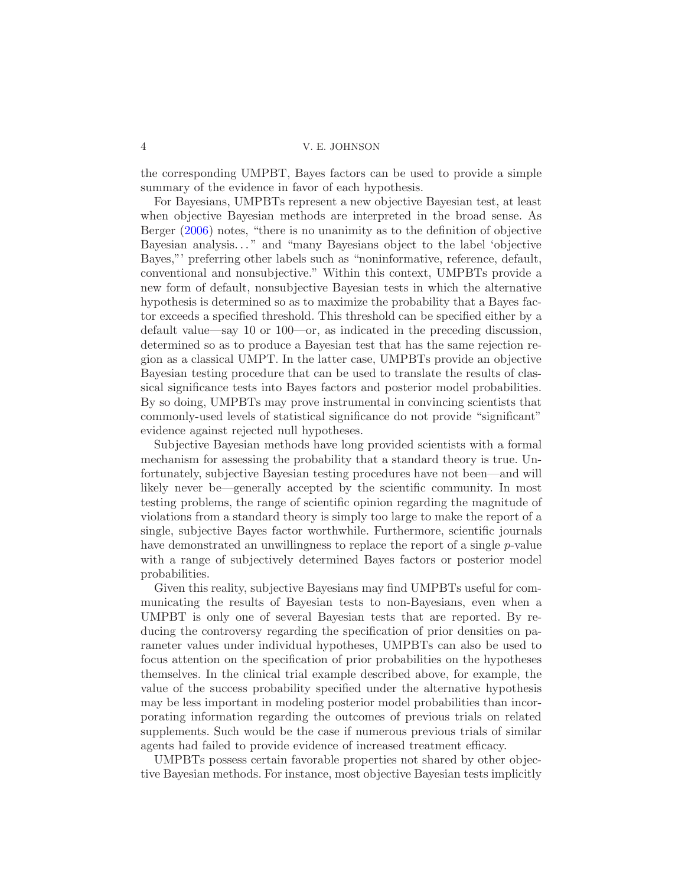the corresponding UMPBT, Bayes factors can be used to provide a simple summary of the evidence in favor of each hypothesis.

For Bayesians, UMPBTs represent a new objective Bayesian test, at least when objective Bayesian methods are interpreted in the broad sense. As Berger [\(2006](#page-25-7)) notes, "there is no unanimity as to the definition of objective Bayesian analysis. . . " and "many Bayesians object to the label 'objective Bayes,"' preferring other labels such as "noninformative, reference, default, conventional and nonsubjective." Within this context, UMPBTs provide a new form of default, nonsubjective Bayesian tests in which the alternative hypothesis is determined so as to maximize the probability that a Bayes factor exceeds a specified threshold. This threshold can be specified either by a default value—say 10 or 100—or, as indicated in the preceding discussion, determined so as to produce a Bayesian test that has the same rejection region as a classical UMPT. In the latter case, UMPBTs provide an objective Bayesian testing procedure that can be used to translate the results of classical significance tests into Bayes factors and posterior model probabilities. By so doing, UMPBTs may prove instrumental in convincing scientists that commonly-used levels of statistical significance do not provide "significant" evidence against rejected null hypotheses.

Subjective Bayesian methods have long provided scientists with a formal mechanism for assessing the probability that a standard theory is true. Unfortunately, subjective Bayesian testing procedures have not been—and will likely never be—generally accepted by the scientific community. In most testing problems, the range of scientific opinion regarding the magnitude of violations from a standard theory is simply too large to make the report of a single, subjective Bayes factor worthwhile. Furthermore, scientific journals have demonstrated an unwillingness to replace the report of a single p-value with a range of subjectively determined Bayes factors or posterior model probabilities.

Given this reality, subjective Bayesians may find UMPBTs useful for communicating the results of Bayesian tests to non-Bayesians, even when a UMPBT is only one of several Bayesian tests that are reported. By reducing the controversy regarding the specification of prior densities on parameter values under individual hypotheses, UMPBTs can also be used to focus attention on the specification of prior probabilities on the hypotheses themselves. In the clinical trial example described above, for example, the value of the success probability specified under the alternative hypothesis may be less important in modeling posterior model probabilities than incorporating information regarding the outcomes of previous trials on related supplements. Such would be the case if numerous previous trials of similar agents had failed to provide evidence of increased treatment efficacy.

UMPBTs possess certain favorable properties not shared by other objective Bayesian methods. For instance, most objective Bayesian tests implicitly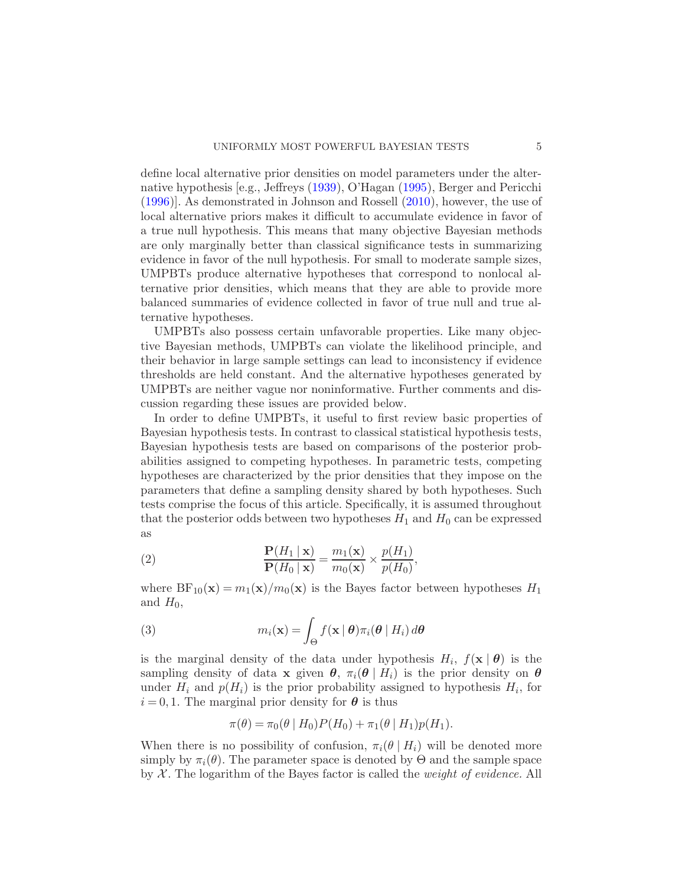define local alternative prior densities on model parameters under the alternative hypothesis [e.g., Jeffreys [\(1939\)](#page-25-3), O'Hagan [\(1995\)](#page-26-2), Berger and Pericchi [\(1996\)](#page-25-8)]. As demonstrated in Johnson and Rossell [\(2010\)](#page-25-9), however, the use of local alternative priors makes it difficult to accumulate evidence in favor of a true null hypothesis. This means that many objective Bayesian methods are only marginally better than classical significance tests in summarizing evidence in favor of the null hypothesis. For small to moderate sample sizes, UMPBTs produce alternative hypotheses that correspond to nonlocal alternative prior densities, which means that they are able to provide more balanced summaries of evidence collected in favor of true null and true alternative hypotheses.

UMPBTs also possess certain unfavorable properties. Like many objective Bayesian methods, UMPBTs can violate the likelihood principle, and their behavior in large sample settings can lead to inconsistency if evidence thresholds are held constant. And the alternative hypotheses generated by UMPBTs are neither vague nor noninformative. Further comments and discussion regarding these issues are provided below.

In order to define UMPBTs, it useful to first review basic properties of Bayesian hypothesis tests. In contrast to classical statistical hypothesis tests, Bayesian hypothesis tests are based on comparisons of the posterior probabilities assigned to competing hypotheses. In parametric tests, competing hypotheses are characterized by the prior densities that they impose on the parameters that define a sampling density shared by both hypotheses. Such tests comprise the focus of this article. Specifically, it is assumed throughout that the posterior odds between two hypotheses  $H_1$  and  $H_0$  can be expressed as

(2) 
$$
\frac{\mathbf{P}(H_1 \mid \mathbf{x})}{\mathbf{P}(H_0 \mid \mathbf{x})} = \frac{m_1(\mathbf{x})}{m_0(\mathbf{x})} \times \frac{p(H_1)}{p(H_0)},
$$

where  $BF_{10}(\mathbf{x}) = m_1(\mathbf{x})/m_0(\mathbf{x})$  is the Bayes factor between hypotheses  $H_1$ and  $H_0$ ,

(3) 
$$
m_i(\mathbf{x}) = \int_{\Theta} f(\mathbf{x} \mid \boldsymbol{\theta}) \pi_i(\boldsymbol{\theta} \mid H_i) d\boldsymbol{\theta}
$$

is the marginal density of the data under hypothesis  $H_i$ ,  $f(\mathbf{x} | \boldsymbol{\theta})$  is the sampling density of data x given  $\theta$ ,  $\pi_i(\theta | H_i)$  is the prior density on  $\theta$ under  $H_i$  and  $p(H_i)$  is the prior probability assigned to hypothesis  $H_i$ , for  $i = 0, 1$ . The marginal prior density for  $\theta$  is thus

$$
\pi(\theta) = \pi_0(\theta \mid H_0) P(H_0) + \pi_1(\theta \mid H_1) p(H_1).
$$

When there is no possibility of confusion,  $\pi_i(\theta | H_i)$  will be denoted more simply by  $\pi_i(\theta)$ . The parameter space is denoted by  $\Theta$  and the sample space by  $X$ . The logarithm of the Bayes factor is called the *weight of evidence*. All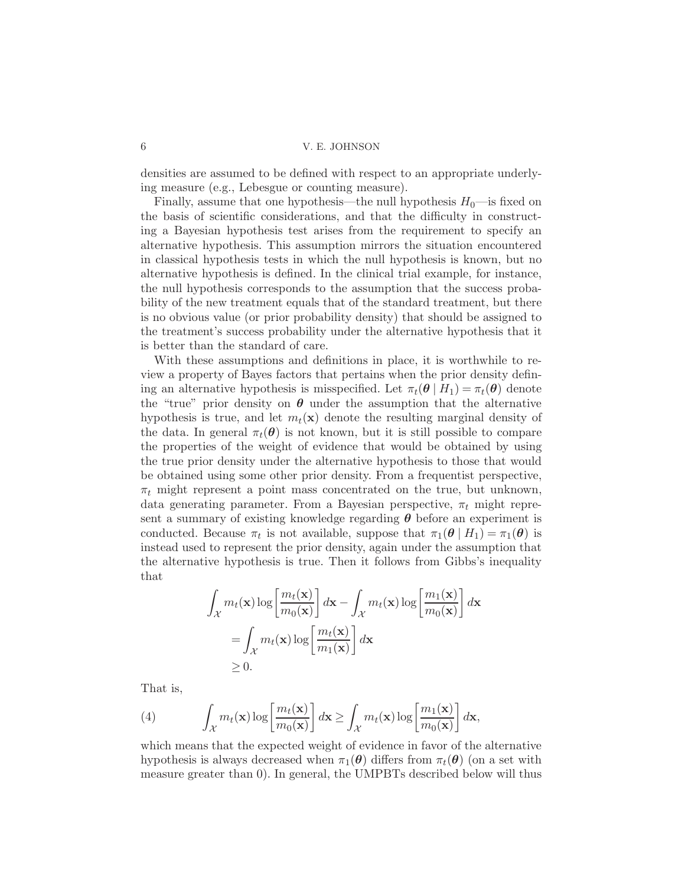densities are assumed to be defined with respect to an appropriate underlying measure (e.g., Lebesgue or counting measure).

Finally, assume that one hypothesis—the null hypothesis  $H_0$ —is fixed on the basis of scientific considerations, and that the difficulty in constructing a Bayesian hypothesis test arises from the requirement to specify an alternative hypothesis. This assumption mirrors the situation encountered in classical hypothesis tests in which the null hypothesis is known, but no alternative hypothesis is defined. In the clinical trial example, for instance, the null hypothesis corresponds to the assumption that the success probability of the new treatment equals that of the standard treatment, but there is no obvious value (or prior probability density) that should be assigned to the treatment's success probability under the alternative hypothesis that it is better than the standard of care.

With these assumptions and definitions in place, it is worthwhile to review a property of Bayes factors that pertains when the prior density defining an alternative hypothesis is misspecified. Let  $\pi_t(\theta | H_1) = \pi_t(\theta)$  denote the "true" prior density on  $\theta$  under the assumption that the alternative hypothesis is true, and let  $m_t(\mathbf{x})$  denote the resulting marginal density of the data. In general  $\pi_t(\theta)$  is not known, but it is still possible to compare the properties of the weight of evidence that would be obtained by using the true prior density under the alternative hypothesis to those that would be obtained using some other prior density. From a frequentist perspective,  $\pi_t$  might represent a point mass concentrated on the true, but unknown, data generating parameter. From a Bayesian perspective,  $\pi_t$  might represent a summary of existing knowledge regarding  $\theta$  before an experiment is conducted. Because  $\pi_t$  is not available, suppose that  $\pi_1(\theta | H_1) = \pi_1(\theta)$  is instead used to represent the prior density, again under the assumption that the alternative hypothesis is true. Then it follows from Gibbs's inequality that

$$
\int_{\mathcal{X}} m_t(\mathbf{x}) \log \left[ \frac{m_t(\mathbf{x})}{m_0(\mathbf{x})} \right] d\mathbf{x} - \int_{\mathcal{X}} m_t(\mathbf{x}) \log \left[ \frac{m_1(\mathbf{x})}{m_0(\mathbf{x})} \right] d\mathbf{x}
$$
  
= 
$$
\int_{\mathcal{X}} m_t(\mathbf{x}) \log \left[ \frac{m_t(\mathbf{x})}{m_1(\mathbf{x})} \right] d\mathbf{x}
$$
  
\ge 0.

That is,

<span id="page-5-0"></span>(4) 
$$
\int_{\mathcal{X}} m_t(\mathbf{x}) \log \left[ \frac{m_t(\mathbf{x})}{m_0(\mathbf{x})} \right] d\mathbf{x} \ge \int_{\mathcal{X}} m_t(\mathbf{x}) \log \left[ \frac{m_1(\mathbf{x})}{m_0(\mathbf{x})} \right] d\mathbf{x},
$$

which means that the expected weight of evidence in favor of the alternative hypothesis is always decreased when  $\pi_1(\theta)$  differs from  $\pi_t(\theta)$  (on a set with measure greater than 0). In general, the UMPBTs described below will thus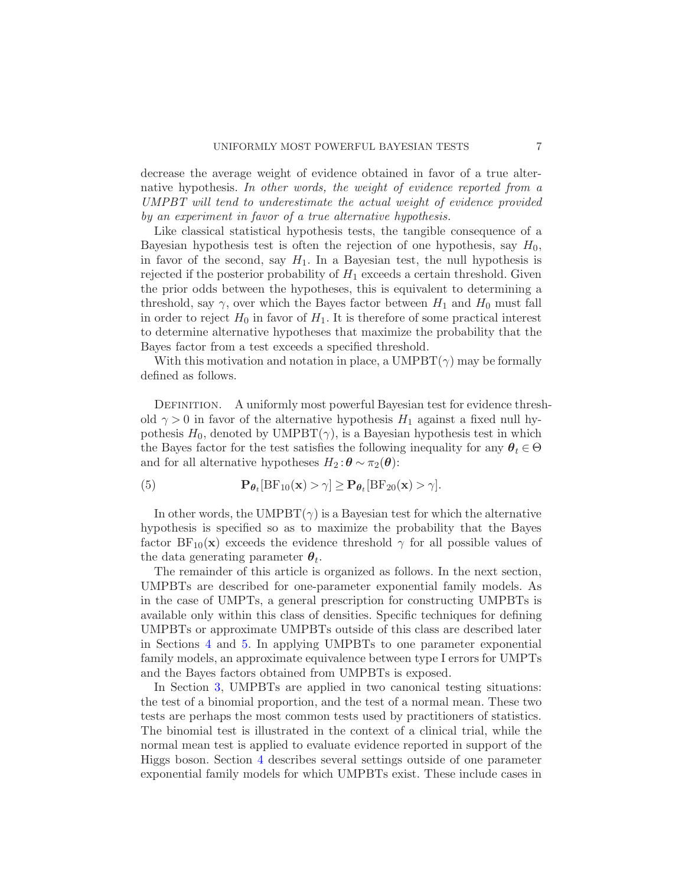decrease the average weight of evidence obtained in favor of a true alternative hypothesis. In other words, the weight of evidence reported from a UMPBT will tend to underestimate the actual weight of evidence provided by an experiment in favor of a true alternative hypothesis.

Like classical statistical hypothesis tests, the tangible consequence of a Bayesian hypothesis test is often the rejection of one hypothesis, say  $H_0$ , in favor of the second, say  $H_1$ . In a Bayesian test, the null hypothesis is rejected if the posterior probability of  $H_1$  exceeds a certain threshold. Given the prior odds between the hypotheses, this is equivalent to determining a threshold, say  $\gamma$ , over which the Bayes factor between  $H_1$  and  $H_0$  must fall in order to reject  $H_0$  in favor of  $H_1$ . It is therefore of some practical interest to determine alternative hypotheses that maximize the probability that the Bayes factor from a test exceeds a specified threshold.

With this motivation and notation in place, a  $\text{UMPBT}(\gamma)$  may be formally defined as follows.

DEFINITION. A uniformly most powerful Bayesian test for evidence threshold  $\gamma > 0$  in favor of the alternative hypothesis  $H_1$  against a fixed null hypothesis  $H_0$ , denoted by UMPBT( $\gamma$ ), is a Bayesian hypothesis test in which the Bayes factor for the test satisfies the following inequality for any  $\theta_t \in \Theta$ and for all alternative hypotheses  $H_2: \boldsymbol{\theta} \sim \pi_2(\boldsymbol{\theta})$ :

(5) 
$$
\mathbf{P}_{\boldsymbol{\theta}_t}[\operatorname{BF}_{10}(\mathbf{x}) > \gamma] \geq \mathbf{P}_{\boldsymbol{\theta}_t}[\operatorname{BF}_{20}(\mathbf{x}) > \gamma].
$$

In other words, the UMPBT( $\gamma$ ) is a Bayesian test for which the alternative hypothesis is specified so as to maximize the probability that the Bayes factor  $BF_{10}(\mathbf{x})$  exceeds the evidence threshold  $\gamma$  for all possible values of the data generating parameter  $\theta_t$ .

The remainder of this article is organized as follows. In the next section, UMPBTs are described for one-parameter exponential family models. As in the case of UMPTs, a general prescription for constructing UMPBTs is available only within this class of densities. Specific techniques for defining UMPBTs or approximate UMPBTs outside of this class are described later in Sections [4](#page-18-0) and [5.](#page-20-0) In applying UMPBTs to one parameter exponential family models, an approximate equivalence between type I errors for UMPTs and the Bayes factors obtained from UMPBTs is exposed.

In Section [3,](#page-11-0) UMPBTs are applied in two canonical testing situations: the test of a binomial proportion, and the test of a normal mean. These two tests are perhaps the most common tests used by practitioners of statistics. The binomial test is illustrated in the context of a clinical trial, while the normal mean test is applied to evaluate evidence reported in support of the Higgs boson. Section [4](#page-18-0) describes several settings outside of one parameter exponential family models for which UMPBTs exist. These include cases in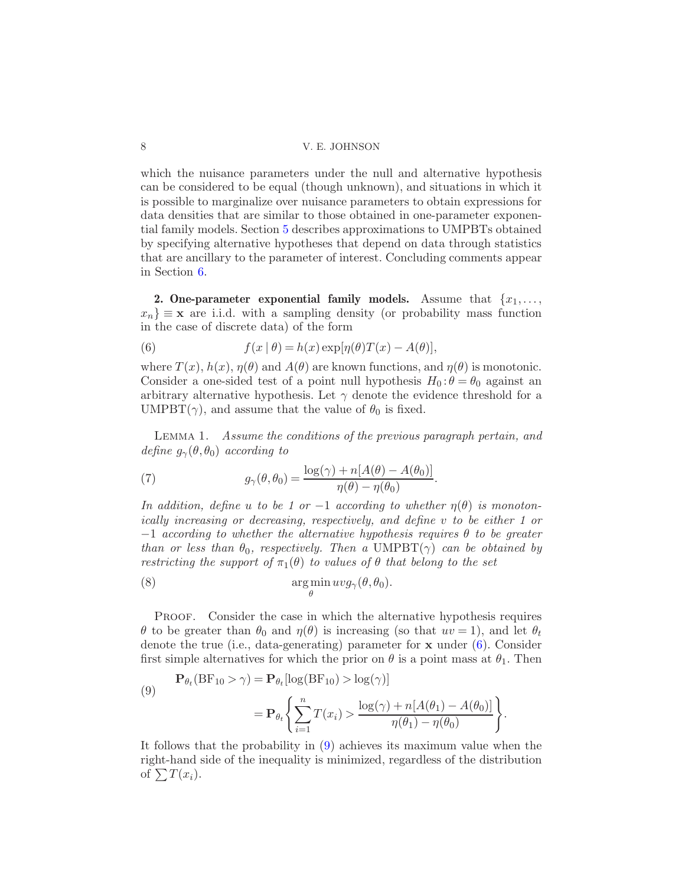which the nuisance parameters under the null and alternative hypothesis can be considered to be equal (though unknown), and situations in which it is possible to marginalize over nuisance parameters to obtain expressions for data densities that are similar to those obtained in one-parameter exponential family models. Section [5](#page-20-0) describes approximations to UMPBTs obtained by specifying alternative hypotheses that depend on data through statistics that are ancillary to the parameter of interest. Concluding comments appear in Section [6.](#page-23-0)

2. One-parameter exponential family models. Assume that  $\{x_1, \ldots, x_n\}$  $x_n$  = x are i.i.d. with a sampling density (or probability mass function in the case of discrete data) of the form

<span id="page-7-0"></span>(6) 
$$
f(x | \theta) = h(x) \exp[\eta(\theta) T(x) - A(\theta)],
$$

where  $T(x)$ ,  $h(x)$ ,  $\eta(\theta)$  and  $A(\theta)$  are known functions, and  $\eta(\theta)$  is monotonic. Consider a one-sided test of a point null hypothesis  $H_0$ :  $\theta = \theta_0$  against an arbitrary alternative hypothesis. Let  $\gamma$  denote the evidence threshold for a  $\text{UMPBT}(\gamma)$ , and assume that the value of  $\theta_0$  is fixed.

<span id="page-7-2"></span>Lemma 1. Assume the conditions of the previous paragraph pertain, and define  $q_{\gamma}(\theta, \theta_0)$  according to

(7) 
$$
g_{\gamma}(\theta,\theta_0) = \frac{\log(\gamma) + n[A(\theta) - A(\theta_0)]}{\eta(\theta) - \eta(\theta_0)}.
$$

In addition, define u to be 1 or  $-1$  according to whether  $\eta(\theta)$  is monotonically increasing or decreasing, respectively, and define v to be either 1 or  $-1$  according to whether the alternative hypothesis requires  $\theta$  to be greater than or less than  $\theta_0$ , respectively. Then a UMPBT( $\gamma$ ) can be obtained by restricting the support of  $\pi_1(\theta)$  to values of  $\theta$  that belong to the set

(8) 
$$
\argmin_{\theta} uvg_{\gamma}(\theta, \theta_0).
$$

Proof. Consider the case in which the alternative hypothesis requires θ to be greater than  $θ_0$  and  $η(θ)$  is increasing (so that  $uv = 1$ ), and let  $θ_t$ denote the true (i.e., data-generating) parameter for  $x$  under [\(6\)](#page-7-0). Consider first simple alternatives for which the prior on  $\theta$  is a point mass at  $\theta_1$ . Then

<span id="page-7-1"></span>(9) 
$$
\mathbf{P}_{\theta_t}(\text{BF}_{10} > \gamma) = \mathbf{P}_{\theta_t}[\log(\text{BF}_{10}) > \log(\gamma)]
$$

$$
= \mathbf{P}_{\theta_t} \left\{ \sum_{i=1}^n T(x_i) > \frac{\log(\gamma) + n[A(\theta_1) - A(\theta_0)]}{\eta(\theta_1) - \eta(\theta_0)} \right\}.
$$

It follows that the probability in [\(9\)](#page-7-1) achieves its maximum value when the right-hand side of the inequality is minimized, regardless of the distribution of  $\sum T(x_i)$ .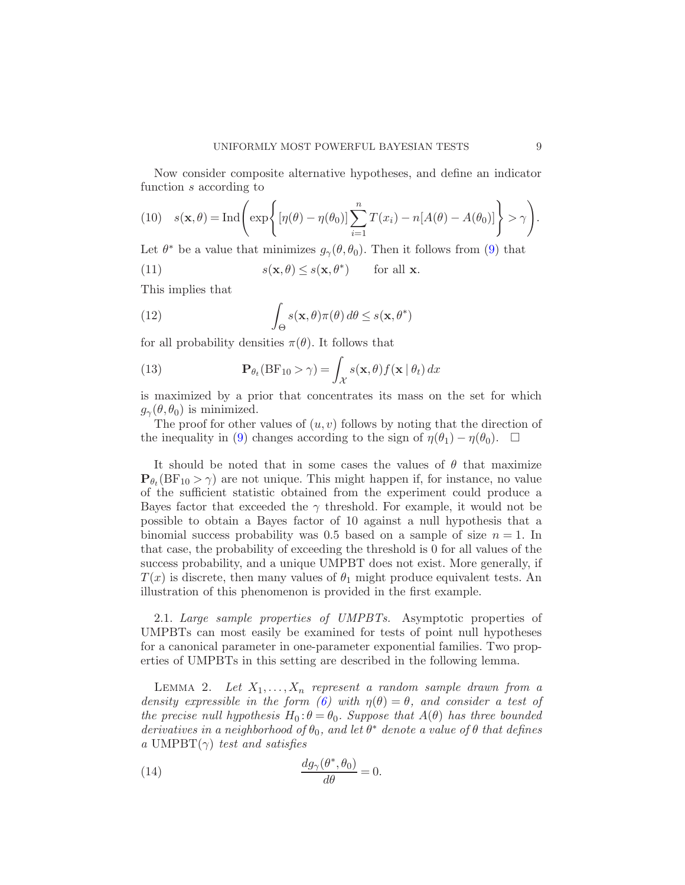Now consider composite alternative hypotheses, and define an indicator function s according to

(10) 
$$
s(\mathbf{x}, \theta) = \text{Ind}\left(\exp\left\{\left[\eta(\theta) - \eta(\theta_0)\right]\sum_{i=1}^n T(x_i) - n[A(\theta) - A(\theta_0)]\right\} > \gamma\right).
$$

Let  $\theta^*$  be a value that minimizes  $g_{\gamma}(\theta, \theta_0)$ . Then it follows from [\(9\)](#page-7-1) that

<span id="page-8-3"></span>(11)  $s(\mathbf{x}, \theta) \leq s(\mathbf{x}, \theta^*)$  for all **x**.

This implies that

(12) 
$$
\int_{\Theta} s(\mathbf{x}, \theta) \pi(\theta) d\theta \leq s(\mathbf{x}, \theta^*)
$$

for all probability densities  $\pi(\theta)$ . It follows that

<span id="page-8-4"></span>(13) 
$$
\mathbf{P}_{\theta_t}(\text{BF}_{10} > \gamma) = \int_{\mathcal{X}} s(\mathbf{x}, \theta) f(\mathbf{x} | \theta_t) dx
$$

is maximized by a prior that concentrates its mass on the set for which  $g_{\gamma}(\theta, \theta_0)$  is minimized.

The proof for other values of  $(u, v)$  follows by noting that the direction of the inequality in [\(9\)](#page-7-1) changes according to the sign of  $\eta(\theta_1) - \eta(\theta_0)$ .  $\Box$ 

It should be noted that in some cases the values of  $\theta$  that maximize  $\mathbf{P}_{\theta_t}(\text{BF}_{10} > \gamma)$  are not unique. This might happen if, for instance, no value of the sufficient statistic obtained from the experiment could produce a Bayes factor that exceeded the  $\gamma$  threshold. For example, it would not be possible to obtain a Bayes factor of 10 against a null hypothesis that a binomial success probability was 0.5 based on a sample of size  $n = 1$ . In that case, the probability of exceeding the threshold is 0 for all values of the success probability, and a unique UMPBT does not exist. More generally, if  $T(x)$  is discrete, then many values of  $\theta_1$  might produce equivalent tests. An illustration of this phenomenon is provided in the first example.

<span id="page-8-0"></span>2.1. Large sample properties of UMPBTs. Asymptotic properties of UMPBTs can most easily be examined for tests of point null hypotheses for a canonical parameter in one-parameter exponential families. Two properties of UMPBTs in this setting are described in the following lemma.

<span id="page-8-2"></span>LEMMA 2. Let  $X_1, \ldots, X_n$  represent a random sample drawn from a density expressible in the form [\(6\)](#page-7-0) with  $\eta(\theta) = \theta$ , and consider a test of the precise null hypothesis  $H_0: \theta = \theta_0$ . Suppose that  $A(\theta)$  has three bounded derivatives in a neighborhood of  $\theta_0$ , and let  $\theta^*$  denote a value of  $\theta$  that defines a UMPBT $(\gamma)$  test and satisfies

<span id="page-8-1"></span>(14) 
$$
\frac{dg_{\gamma}(\theta^*, \theta_0)}{d\theta} = 0.
$$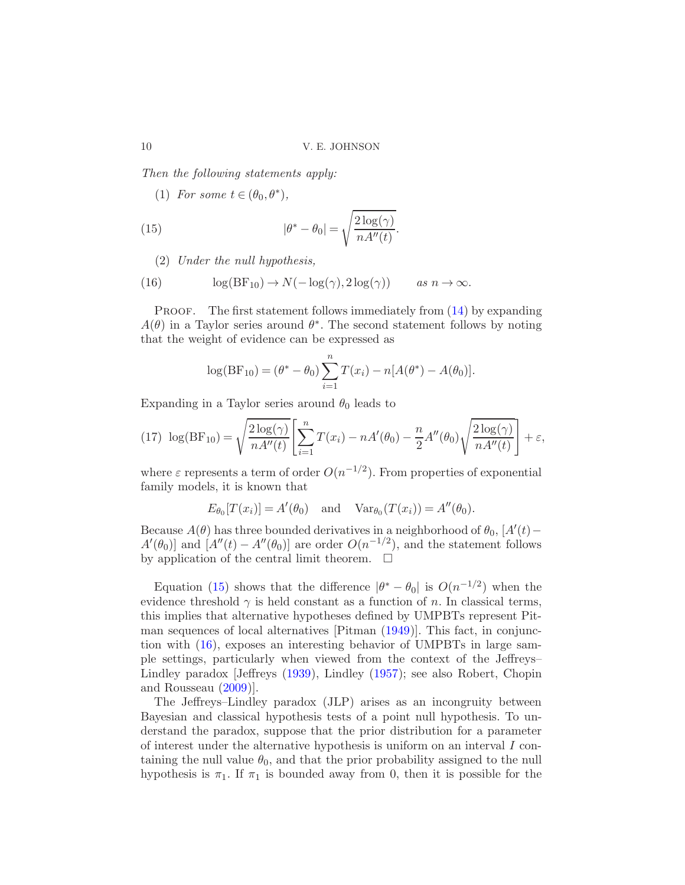Then the following statements apply:

<span id="page-9-0"></span>(1) For some  $t \in (\theta_0, \theta^*),$ 

(15) 
$$
|\theta^* - \theta_0| = \sqrt{\frac{2\log(\gamma)}{nA''(t)}}.
$$

<span id="page-9-1"></span>(2) Under the null hypothesis,

(16) 
$$
\log(BF_{10}) \to N(-\log(\gamma), 2\log(\gamma)) \quad \text{as } n \to \infty.
$$

PROOF. The first statement follows immediately from  $(14)$  by expanding  $A(\theta)$  in a Taylor series around  $\theta^*$ . The second statement follows by noting that the weight of evidence can be expressed as

$$
log(BF_{10}) = (\theta^* - \theta_0) \sum_{i=1}^{n} T(x_i) - n[A(\theta^*) - A(\theta_0)].
$$

Expanding in a Taylor series around  $\theta_0$  leads to

(17) 
$$
\log(\text{BF}_{10}) = \sqrt{\frac{2\log(\gamma)}{nA''(t)}} \left[ \sum_{i=1}^{n} T(x_i) - nA'(\theta_0) - \frac{n}{2}A''(\theta_0) \sqrt{\frac{2\log(\gamma)}{nA''(t)}} \right] + \varepsilon,
$$

where  $\varepsilon$  represents a term of order  $O(n^{-1/2})$ . From properties of exponential family models, it is known that

$$
E_{\theta_0}[T(x_i)] = A'(\theta_0) \quad \text{and} \quad \text{Var}_{\theta_0}(T(x_i)) = A''(\theta_0).
$$

Because  $A(\theta)$  has three bounded derivatives in a neighborhood of  $\theta_0$ , [A'(t)−  $A'(\theta_0)$  and  $[A''(t) - A''(\theta_0)]$  are order  $O(n^{-1/2})$ , and the statement follows by application of the central limit theorem.  $\Box$ 

Equation [\(15\)](#page-9-0) shows that the difference  $|\theta^* - \theta_0|$  is  $O(n^{-1/2})$  when the evidence threshold  $\gamma$  is held constant as a function of n. In classical terms, this implies that alternative hypotheses defined by UMPBTs represent Pitman sequences of local alternatives [Pitman [\(1949](#page-26-3))]. This fact, in conjunction with [\(16\)](#page-9-1), exposes an interesting behavior of UMPBTs in large sample settings, particularly when viewed from the context of the Jeffreys– Lindley paradox [Jeffreys [\(1939](#page-25-3)), Lindley [\(1957](#page-25-10)); see also Robert, Chopin and Rousseau [\(2009](#page-26-4))].

The Jeffreys–Lindley paradox (JLP) arises as an incongruity between Bayesian and classical hypothesis tests of a point null hypothesis. To understand the paradox, suppose that the prior distribution for a parameter of interest under the alternative hypothesis is uniform on an interval I containing the null value  $\theta_0$ , and that the prior probability assigned to the null hypothesis is  $\pi_1$ . If  $\pi_1$  is bounded away from 0, then it is possible for the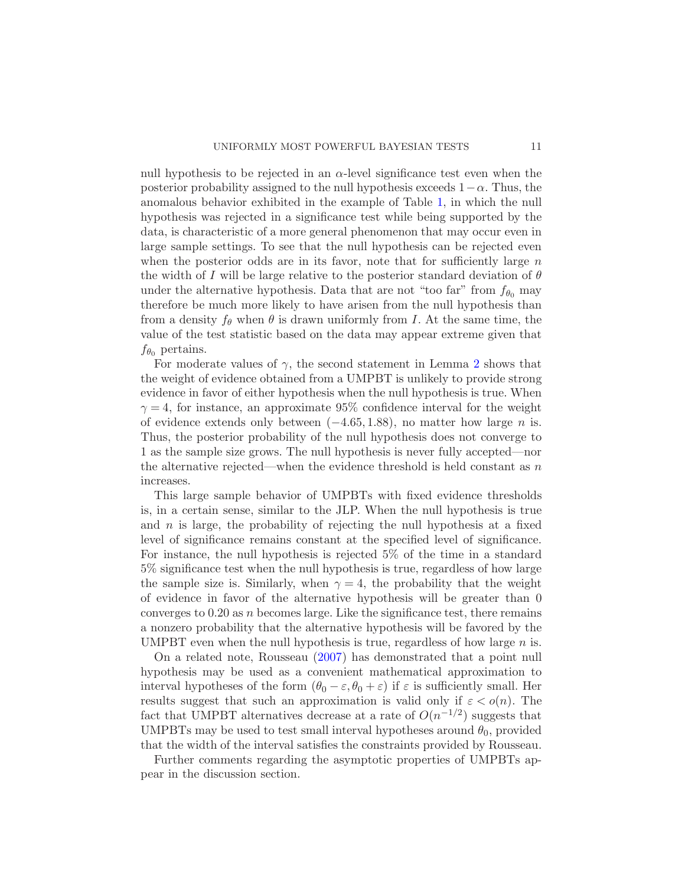null hypothesis to be rejected in an  $\alpha$ -level significance test even when the posterior probability assigned to the null hypothesis exceeds  $1-\alpha$ . Thus, the anomalous behavior exhibited in the example of Table [1,](#page-1-0) in which the null hypothesis was rejected in a significance test while being supported by the data, is characteristic of a more general phenomenon that may occur even in large sample settings. To see that the null hypothesis can be rejected even when the posterior odds are in its favor, note that for sufficiently large  $n$ the width of I will be large relative to the posterior standard deviation of  $\theta$ under the alternative hypothesis. Data that are not "too far" from  $f_{\theta_0}$  may therefore be much more likely to have arisen from the null hypothesis than from a density  $f_{\theta}$  when  $\theta$  is drawn uniformly from I. At the same time, the value of the test statistic based on the data may appear extreme given that  $f_{\theta_0}$  pertains.

For moderate values of  $\gamma$ , the second statement in Lemma [2](#page-8-2) shows that the weight of evidence obtained from a UMPBT is unlikely to provide strong evidence in favor of either hypothesis when the null hypothesis is true. When  $\gamma = 4$ , for instance, an approximate 95% confidence interval for the weight of evidence extends only between  $(-4.65, 1.88)$ , no matter how large *n* is. Thus, the posterior probability of the null hypothesis does not converge to 1 as the sample size grows. The null hypothesis is never fully accepted—nor the alternative rejected—when the evidence threshold is held constant as  $n$ increases.

This large sample behavior of UMPBTs with fixed evidence thresholds is, in a certain sense, similar to the JLP. When the null hypothesis is true and  $n$  is large, the probability of rejecting the null hypothesis at a fixed level of significance remains constant at the specified level of significance. For instance, the null hypothesis is rejected 5% of the time in a standard 5% significance test when the null hypothesis is true, regardless of how large the sample size is. Similarly, when  $\gamma = 4$ , the probability that the weight of evidence in favor of the alternative hypothesis will be greater than 0 converges to  $0.20$  as n becomes large. Like the significance test, there remains a nonzero probability that the alternative hypothesis will be favored by the UMPBT even when the null hypothesis is true, regardless of how large  $n$  is.

On a related note, Rousseau [\(2007\)](#page-26-5) has demonstrated that a point null hypothesis may be used as a convenient mathematical approximation to interval hypotheses of the form  $(\theta_0 - \varepsilon, \theta_0 + \varepsilon)$  if  $\varepsilon$  is sufficiently small. Her results suggest that such an approximation is valid only if  $\varepsilon < o(n)$ . The fact that UMPBT alternatives decrease at a rate of  $O(n^{-1/2})$  suggests that UMPBTs may be used to test small interval hypotheses around  $\theta_0$ , provided that the width of the interval satisfies the constraints provided by Rousseau.

Further comments regarding the asymptotic properties of UMPBTs appear in the discussion section.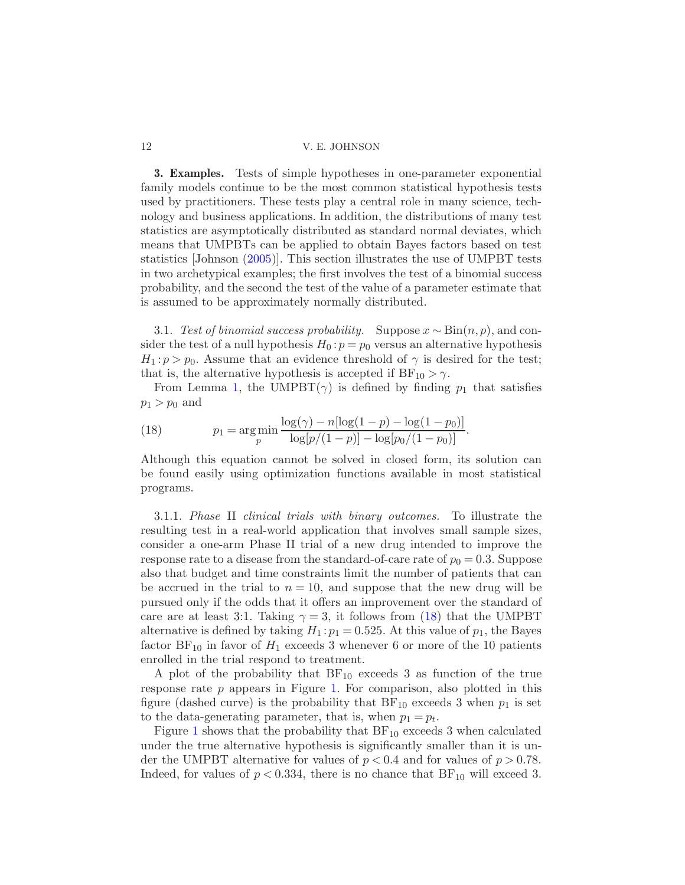<span id="page-11-0"></span>3. Examples. Tests of simple hypotheses in one-parameter exponential family models continue to be the most common statistical hypothesis tests used by practitioners. These tests play a central role in many science, technology and business applications. In addition, the distributions of many test statistics are asymptotically distributed as standard normal deviates, which means that UMPBTs can be applied to obtain Bayes factors based on test statistics [Johnson [\(2005\)](#page-25-11)]. This section illustrates the use of UMPBT tests in two archetypical examples; the first involves the test of a binomial success probability, and the second the test of the value of a parameter estimate that is assumed to be approximately normally distributed.

3.1. Test of binomial success probability. Suppose  $x \sim Bin(n, p)$ , and consider the test of a null hypothesis  $H_0$ :  $p = p_0$  versus an alternative hypothesis  $H_1$ :  $p > p_0$ . Assume that an evidence threshold of  $\gamma$  is desired for the test; that is, the alternative hypothesis is accepted if  $BF_{10} > \gamma$ .

From Lemma [1,](#page-7-2) the UMPBT( $\gamma$ ) is defined by finding  $p_1$  that satisfies  $p_1 > p_0$  and

<span id="page-11-1"></span>(18) 
$$
p_1 = \underset{p}{\arg\min} \frac{\log(\gamma) - n[\log(1-p) - \log(1-p_0)]}{\log[p/(1-p)] - \log[p_0/(1-p_0)]}.
$$

Although this equation cannot be solved in closed form, its solution can be found easily using optimization functions available in most statistical programs.

3.1.1. Phase II clinical trials with binary outcomes. To illustrate the resulting test in a real-world application that involves small sample sizes, consider a one-arm Phase II trial of a new drug intended to improve the response rate to a disease from the standard-of-care rate of  $p_0 = 0.3$ . Suppose also that budget and time constraints limit the number of patients that can be accrued in the trial to  $n = 10$ , and suppose that the new drug will be pursued only if the odds that it offers an improvement over the standard of care are at least 3:1. Taking  $\gamma = 3$ , it follows from [\(18\)](#page-11-1) that the UMPBT alternative is defined by taking  $H_1$ :  $p_1 = 0.525$ . At this value of  $p_1$ , the Bayes factor  $BF_{10}$  in favor of  $H_1$  exceeds 3 whenever 6 or more of the 10 patients enrolled in the trial respond to treatment.

A plot of the probability that  $BF_{10}$  exceeds 3 as function of the true response rate  $p$  appears in Figure [1.](#page-12-0) For comparison, also plotted in this figure (dashed curve) is the probability that  $BF_{10}$  exceeds 3 when  $p_1$  is set to the data-generating parameter, that is, when  $p_1 = p_t$ .

Figure [1](#page-12-0) shows that the probability that  $BF_{10}$  exceeds 3 when calculated under the true alternative hypothesis is significantly smaller than it is under the UMPBT alternative for values of  $p < 0.4$  and for values of  $p > 0.78$ . Indeed, for values of  $p < 0.334$ , there is no chance that  $BF_{10}$  will exceed 3.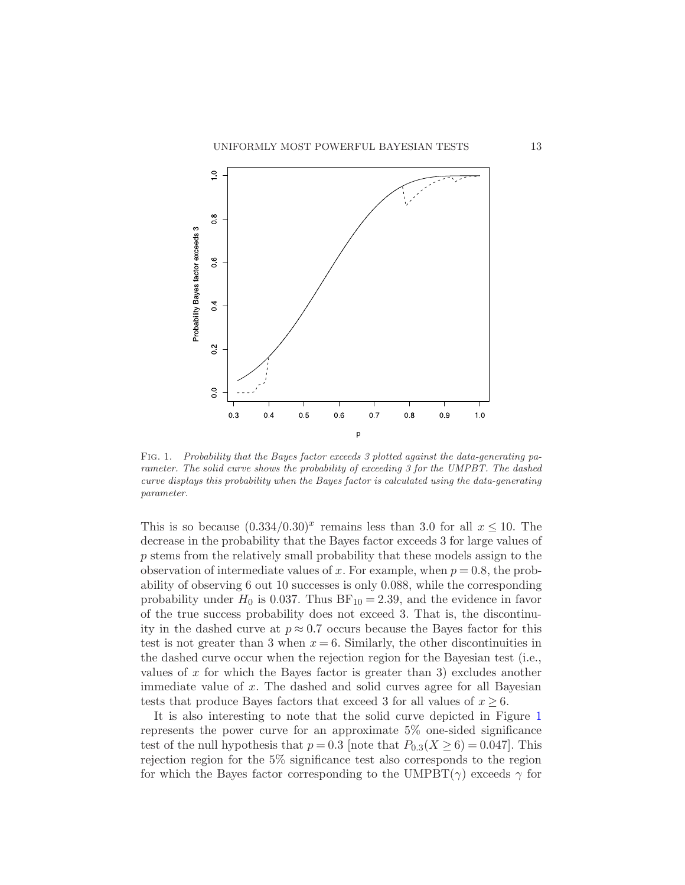

<span id="page-12-0"></span>Fig. 1. *Probability that the Bayes factor exceeds 3 plotted against the data-generating parameter. The solid curve shows the probability of exceeding 3 for the UMPBT. The dashed curve displays this probability when the Bayes factor is calculated using the data-generating parameter.*

This is so because  $(0.334/0.30)^x$  remains less than 3.0 for all  $x \le 10$ . The decrease in the probability that the Bayes factor exceeds 3 for large values of p stems from the relatively small probability that these models assign to the observation of intermediate values of x. For example, when  $p = 0.8$ , the probability of observing 6 out 10 successes is only 0.088, while the corresponding probability under  $H_0$  is 0.037. Thus  $BF_{10} = 2.39$ , and the evidence in favor of the true success probability does not exceed 3. That is, the discontinuity in the dashed curve at  $p \approx 0.7$  occurs because the Bayes factor for this test is not greater than 3 when  $x = 6$ . Similarly, the other discontinuities in the dashed curve occur when the rejection region for the Bayesian test (i.e., values of x for which the Bayes factor is greater than 3) excludes another immediate value of  $x$ . The dashed and solid curves agree for all Bayesian tests that produce Bayes factors that exceed 3 for all values of  $x \geq 6$ .

It is also interesting to note that the solid curve depicted in Figure [1](#page-12-0) represents the power curve for an approximate 5% one-sided significance test of the null hypothesis that  $p = 0.3$  [note that  $P_{0.3}(X \ge 6) = 0.047$ ]. This rejection region for the 5% significance test also corresponds to the region for which the Bayes factor corresponding to the  $\text{UMPBT}(\gamma)$  exceeds  $\gamma$  for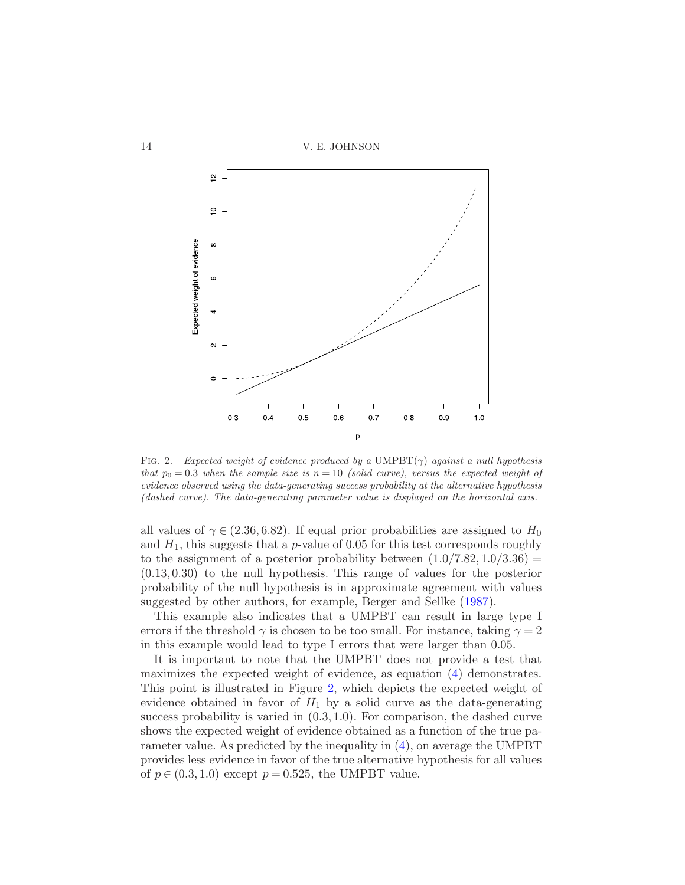

<span id="page-13-0"></span>FIG. 2. *Expected weight of evidence produced by a* UMPBT( $\gamma$ ) *against a null hypothesis that*  $p_0 = 0.3$  *when the sample size is*  $n = 10$  *(solid curve), versus the expected weight of evidence observed using the data-generating success probability at the alternative hypothesis (dashed curve). The data-generating parameter value is displayed on the horizontal axis.*

all values of  $\gamma \in (2.36, 6.82)$ . If equal prior probabilities are assigned to  $H_0$ and  $H_1$ , this suggests that a p-value of 0.05 for this test corresponds roughly to the assignment of a posterior probability between  $(1.0/7.82, 1.0/3.36)$  = (0.13, 0.30) to the null hypothesis. This range of values for the posterior probability of the null hypothesis is in approximate agreement with values suggested by other authors, for example, Berger and Sellke [\(1987\)](#page-25-12).

This example also indicates that a UMPBT can result in large type I errors if the threshold  $\gamma$  is chosen to be too small. For instance, taking  $\gamma = 2$ in this example would lead to type I errors that were larger than 0.05.

It is important to note that the UMPBT does not provide a test that maximizes the expected weight of evidence, as equation [\(4\)](#page-5-0) demonstrates. This point is illustrated in Figure [2,](#page-13-0) which depicts the expected weight of evidence obtained in favor of  $H_1$  by a solid curve as the data-generating success probability is varied in  $(0.3, 1.0)$ . For comparison, the dashed curve shows the expected weight of evidence obtained as a function of the true parameter value. As predicted by the inequality in [\(4\)](#page-5-0), on average the UMPBT provides less evidence in favor of the true alternative hypothesis for all values of  $p \in (0.3, 1.0)$  except  $p = 0.525$ , the UMPBT value.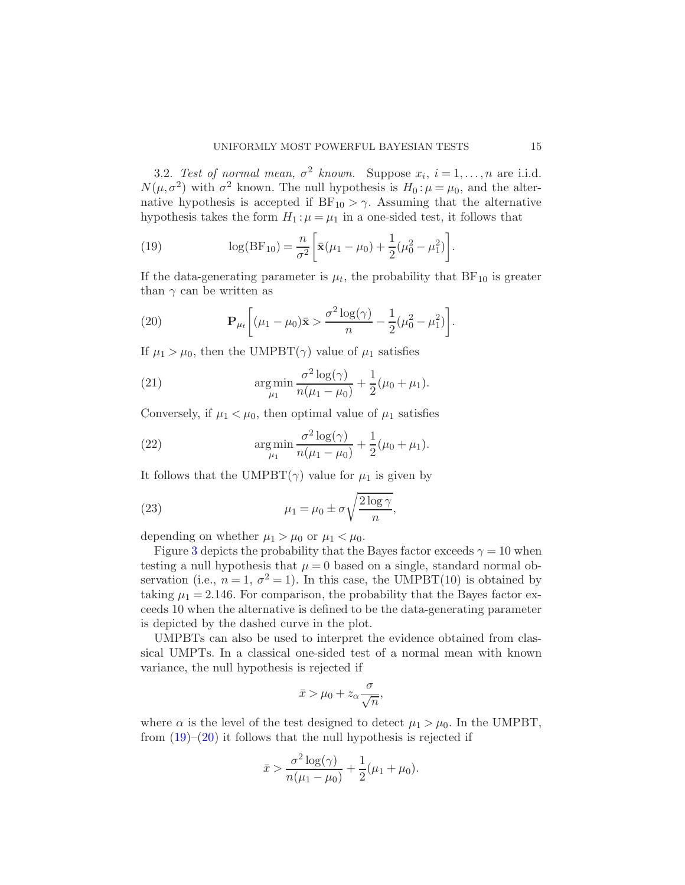3.2. Test of normal mean,  $\sigma^2$  known. Suppose  $x_i$ ,  $i = 1, ..., n$  are i.i.d.  $N(\mu, \sigma^2)$  with  $\sigma^2$  known. The null hypothesis is  $H_0: \mu = \mu_0$ , and the alternative hypothesis is accepted if  $BF_{10} > \gamma$ . Assuming that the alternative hypothesis takes the form  $H_1$ :  $\mu = \mu_1$  in a one-sided test, it follows that

<span id="page-14-0"></span>(19) 
$$
\log(BF_{10}) = \frac{n}{\sigma^2} \left[ \bar{\mathbf{x}}(\mu_1 - \mu_0) + \frac{1}{2}(\mu_0^2 - \mu_1^2) \right].
$$

If the data-generating parameter is  $\mu_t$ , the probability that  $BF_{10}$  is greater than  $\gamma$  can be written as

<span id="page-14-1"></span>(20) 
$$
\mathbf{P}_{\mu_t} \left[ (\mu_1 - \mu_0) \bar{\mathbf{x}} > \frac{\sigma^2 \log(\gamma)}{n} - \frac{1}{2} (\mu_0^2 - \mu_1^2) \right].
$$

If  $\mu_1 > \mu_0$ , then the UMPBT( $\gamma$ ) value of  $\mu_1$  satisfies

(21) 
$$
\arg\min_{\mu_1} \frac{\sigma^2 \log(\gamma)}{n(\mu_1 - \mu_0)} + \frac{1}{2}(\mu_0 + \mu_1).
$$

Conversely, if  $\mu_1 < \mu_0$ , then optimal value of  $\mu_1$  satisfies

(22) 
$$
\arg\min_{\mu_1} \frac{\sigma^2 \log(\gamma)}{n(\mu_1 - \mu_0)} + \frac{1}{2}(\mu_0 + \mu_1).
$$

It follows that the UMPBT( $\gamma$ ) value for  $\mu_1$  is given by

<span id="page-14-2"></span>(23) 
$$
\mu_1 = \mu_0 \pm \sigma \sqrt{\frac{2 \log \gamma}{n}},
$$

depending on whether  $\mu_1 > \mu_0$  or  $\mu_1 < \mu_0$ .

Figure [3](#page-15-0) depicts the probability that the Bayes factor exceeds  $\gamma = 10$  when testing a null hypothesis that  $\mu = 0$  based on a single, standard normal observation (i.e.,  $n = 1$ ,  $\sigma^2 = 1$ ). In this case, the UMPBT(10) is obtained by taking  $\mu_1 = 2.146$ . For comparison, the probability that the Bayes factor exceeds 10 when the alternative is defined to be the data-generating parameter is depicted by the dashed curve in the plot.

UMPBTs can also be used to interpret the evidence obtained from classical UMPTs. In a classical one-sided test of a normal mean with known variance, the null hypothesis is rejected if

$$
\bar{x} > \mu_0 + z_\alpha \frac{\sigma}{\sqrt{n}},
$$

where  $\alpha$  is the level of the test designed to detect  $\mu_1 > \mu_0$ . In the UMPBT, from  $(19)$ – $(20)$  it follows that the null hypothesis is rejected if

$$
\bar{x} > \frac{\sigma^2 \log(\gamma)}{n(\mu_1 - \mu_0)} + \frac{1}{2}(\mu_1 + \mu_0).
$$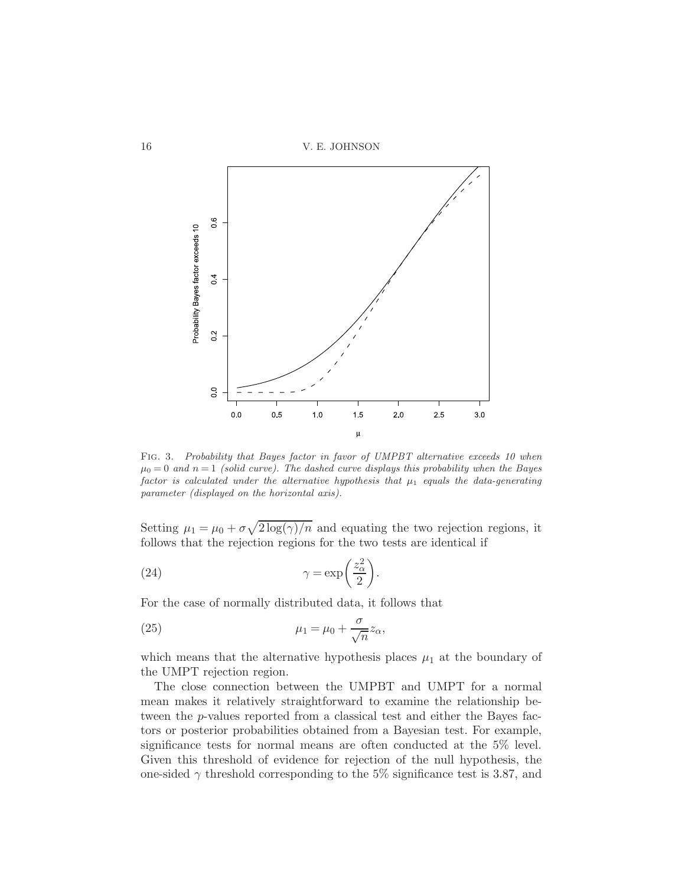16 V. E. JOHNSON



<span id="page-15-0"></span>Fig. 3. *Probability that Bayes factor in favor of UMPBT alternative exceeds 10 when*  $\mu_0 = 0$  and  $n = 1$  *(solid curve). The dashed curve displays this probability when the Bayes factor is calculated under the alternative hypothesis that*  $\mu_1$  *equals the data-generating parameter (displayed on the horizontal axis).*

Setting  $\mu_1 = \mu_0 + \sigma \sqrt{2 \log(\gamma)/n}$  and equating the two rejection regions, it follows that the rejection regions for the two tests are identical if

<span id="page-15-1"></span>(24) 
$$
\gamma = \exp\left(\frac{z_{\alpha}^2}{2}\right).
$$

For the case of normally distributed data, it follows that

<span id="page-15-2"></span>(25) 
$$
\mu_1 = \mu_0 + \frac{\sigma}{\sqrt{n}} z_\alpha,
$$

which means that the alternative hypothesis places  $\mu_1$  at the boundary of the UMPT rejection region.

The close connection between the UMPBT and UMPT for a normal mean makes it relatively straightforward to examine the relationship between the p-values reported from a classical test and either the Bayes factors or posterior probabilities obtained from a Bayesian test. For example, significance tests for normal means are often conducted at the 5% level. Given this threshold of evidence for rejection of the null hypothesis, the one-sided  $\gamma$  threshold corresponding to the 5% significance test is 3.87, and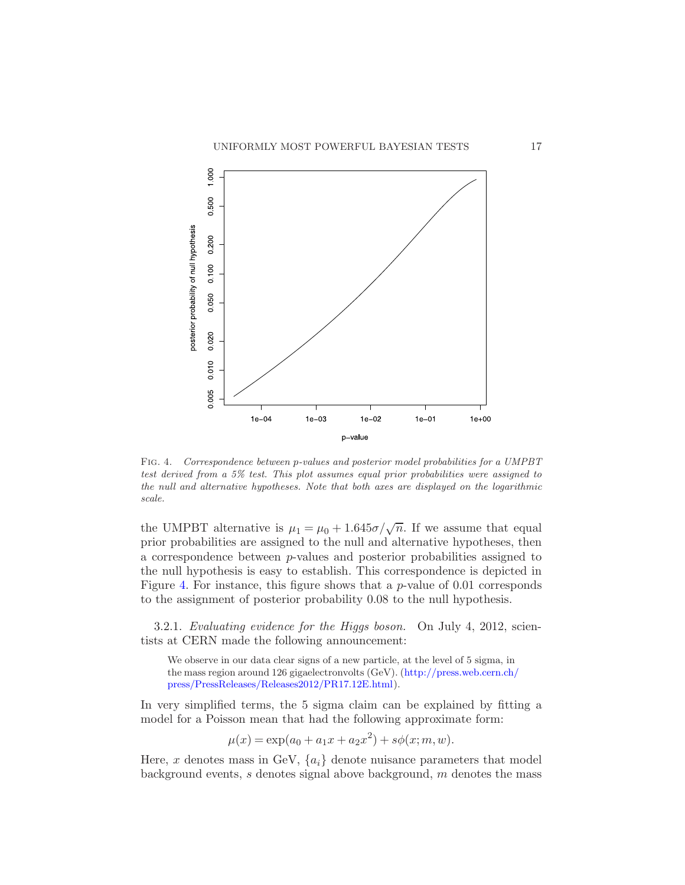

<span id="page-16-0"></span>Fig. 4. *Correspondence between* p*-values and posterior model probabilities for a UMPBT test derived from a 5% test. This plot assumes equal prior probabilities were assigned to the null and alternative hypotheses. Note that both axes are displayed on the logarithmic scale.*

the UMPBT alternative is  $\mu_1 = \mu_0 + 1.645\sigma/\sqrt{n}$ . If we assume that equal prior probabilities are assigned to the null and alternative hypotheses, then a correspondence between p-values and posterior probabilities assigned to the null hypothesis is easy to establish. This correspondence is depicted in Figure [4.](#page-16-0) For instance, this figure shows that a p-value of 0.01 corresponds to the assignment of posterior probability 0.08 to the null hypothesis.

3.2.1. Evaluating evidence for the Higgs boson. On July 4, 2012, scientists at CERN made the following announcement:

We observe in our data clear signs of a new particle, at the level of 5 sigma, in the mass region around 126 gigaelectronvolts (GeV). [\(http://press.web.cern.ch/](http://press.web.cern.ch/press/PressReleases/Releases2012/PR17.12E.html) [press/PressReleases/Releases2012/PR17.12E.html\)](http://press.web.cern.ch/press/PressReleases/Releases2012/PR17.12E.html).

In very simplified terms, the 5 sigma claim can be explained by fitting a model for a Poisson mean that had the following approximate form:

$$
\mu(x) = \exp(a_0 + a_1x + a_2x^2) + s\phi(x; m, w).
$$

Here, x denotes mass in GeV,  $\{a_i\}$  denote nuisance parameters that model background events, s denotes signal above background, m denotes the mass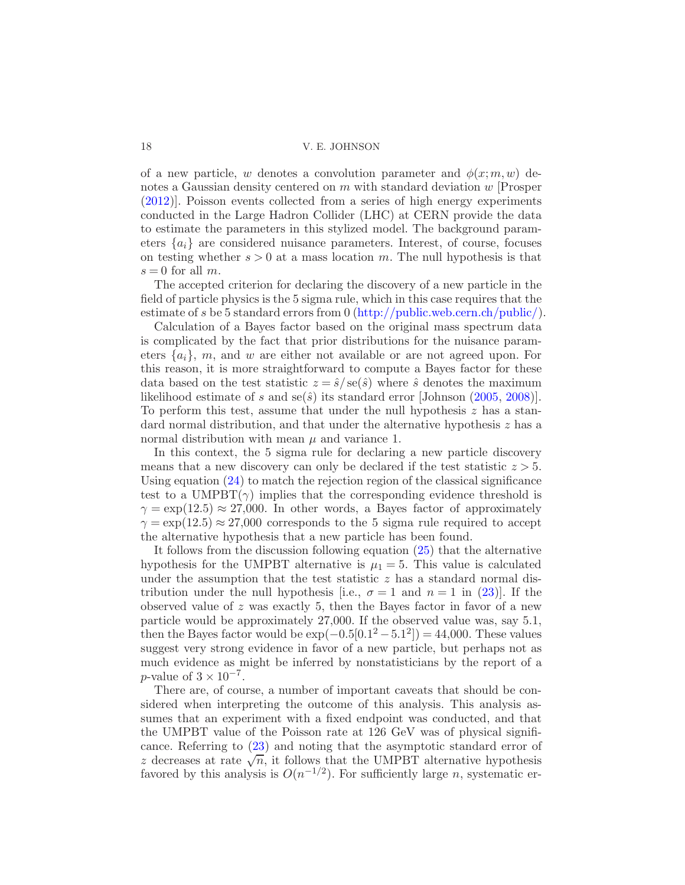of a new particle, w denotes a convolution parameter and  $\phi(x;m,w)$  denotes a Gaussian density centered on m with standard deviation  $w$  [Prosper [\(2012\)](#page-26-6)]. Poisson events collected from a series of high energy experiments conducted in the Large Hadron Collider (LHC) at CERN provide the data to estimate the parameters in this stylized model. The background parameters  $\{a_i\}$  are considered nuisance parameters. Interest, of course, focuses on testing whether  $s > 0$  at a mass location m. The null hypothesis is that  $s = 0$  for all m.

The accepted criterion for declaring the discovery of a new particle in the field of particle physics is the 5 sigma rule, which in this case requires that the estimate of s be 5 standard errors from 0 [\(http://public.web.cern.ch/public/\)](http://public.web.cern.ch/public/).

Calculation of a Bayes factor based on the original mass spectrum data is complicated by the fact that prior distributions for the nuisance parameters  $\{a_i\}$ , m, and w are either not available or are not agreed upon. For this reason, it is more straightforward to compute a Bayes factor for these data based on the test statistic  $z = \hat{s}/\text{se}(\hat{s})$  where  $\hat{s}$  denotes the maximum likelihood estimate of s and se( $\hat{s}$ ) its standard error [Johnson [\(2005,](#page-25-11) [2008](#page-25-13))]. To perform this test, assume that under the null hypothesis  $z$  has a standard normal distribution, and that under the alternative hypothesis z has a normal distribution with mean  $\mu$  and variance 1.

In this context, the 5 sigma rule for declaring a new particle discovery means that a new discovery can only be declared if the test statistic  $z > 5$ . Using equation [\(24\)](#page-15-1) to match the rejection region of the classical significance test to a UMPBT( $\gamma$ ) implies that the corresponding evidence threshold is  $\gamma = \exp(12.5) \approx 27{,}000$ . In other words, a Bayes factor of approximately  $\gamma = \exp(12.5) \approx 27,000$  corresponds to the 5 sigma rule required to accept the alternative hypothesis that a new particle has been found.

It follows from the discussion following equation [\(25\)](#page-15-2) that the alternative hypothesis for the UMPBT alternative is  $\mu_1 = 5$ . This value is calculated under the assumption that the test statistic  $z$  has a standard normal distribution under the null hypothesis [i.e.,  $\sigma = 1$  and  $n = 1$  in [\(23\)](#page-14-2)]. If the observed value of  $z$  was exactly 5, then the Bayes factor in favor of a new particle would be approximately 27,000. If the observed value was, say 5.1, then the Bayes factor would be  $\exp(-0.5[0.1^2 - 5.1^2]) = 44{,}000$ . These values suggest very strong evidence in favor of a new particle, but perhaps not as much evidence as might be inferred by nonstatisticians by the report of a p-value of  $3 \times 10^{-7}$ .

There are, of course, a number of important caveats that should be considered when interpreting the outcome of this analysis. This analysis assumes that an experiment with a fixed endpoint was conducted, and that the UMPBT value of the Poisson rate at 126 GeV was of physical significance. Referring to [\(23\)](#page-14-2) and noting that the asymptotic standard error of z decreases at rate  $\sqrt{n}$ , it follows that the UMPBT alternative hypothesis favored by this analysis is  $O(n^{-1/2})$ . For sufficiently large n, systematic er-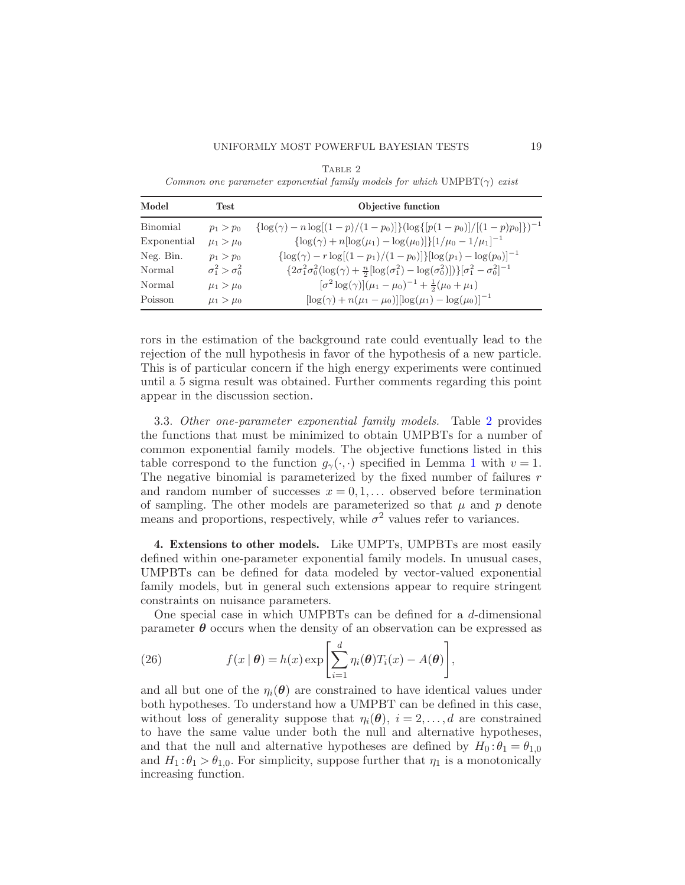#### UNIFORMLY MOST POWERFUL BAYESIAN TESTS 19

<span id="page-18-1"></span>TABLE 2 *Common one parameter exponential family models for which* UMPBT(γ) *exist*

| Model           | Test                      | Objective function                                                                                                         |
|-----------------|---------------------------|----------------------------------------------------------------------------------------------------------------------------|
| <b>Binomial</b> | $p_1 > p_0$               | $\{\log(\gamma) - n \log[(1-p)/(1-p_0)]\} (\log\{[p(1-p_0)]/[(1-p)p_0]\})^{-1}$                                            |
| Exponential     | $\mu_1 > \mu_0$           | $\{\log(\gamma) + n[\log(\mu_1) - \log(\mu_0)]\} [1/\mu_0 - 1/\mu_1]^{-1}$                                                 |
| Neg. Bin.       | $p_1 > p_0$               | $\{\log(\gamma) - r \log[(1-p_1)/(1-p_0)]\}[\log(p_1) - \log(p_0)]^{-1}$                                                   |
| Normal          | $\sigma_1^2 > \sigma_0^2$ | $\{2\sigma_1^2\sigma_0^2(\log(\gamma) + \frac{n}{2}[\log(\sigma_1^2) - \log(\sigma_0^2)])\}[\sigma_1^2 - \sigma_0^2]^{-1}$ |
| Normal          | $\mu_1 > \mu_0$           | $[\sigma^2 \log(\gamma)] (\mu_1 - \mu_0)^{-1} + \frac{1}{2}(\mu_0 + \mu_1)$                                                |
| Poisson         | $\mu_1 > \mu_0$           | $[\log(\gamma) + n(\mu_1 - \mu_0)][\log(\mu_1) - \log(\mu_0)]^{-1}$                                                        |

rors in the estimation of the background rate could eventually lead to the rejection of the null hypothesis in favor of the hypothesis of a new particle. This is of particular concern if the high energy experiments were continued until a 5 sigma result was obtained. Further comments regarding this point appear in the discussion section.

3.3. Other one-parameter exponential family models. Table [2](#page-18-1) provides the functions that must be minimized to obtain UMPBTs for a number of common exponential family models. The objective functions listed in this table correspond to the function  $g_{\gamma}(\cdot,\cdot)$  specified in Lemma [1](#page-7-2) with  $v=1$ . The negative binomial is parameterized by the fixed number of failures  $r$ and random number of successes  $x = 0, 1, \ldots$  observed before termination of sampling. The other models are parameterized so that  $\mu$  and  $p$  denote means and proportions, respectively, while  $\sigma^2$  values refer to variances.

<span id="page-18-0"></span>4. Extensions to other models. Like UMPTs, UMPBTs are most easily defined within one-parameter exponential family models. In unusual cases, UMPBTs can be defined for data modeled by vector-valued exponential family models, but in general such extensions appear to require stringent constraints on nuisance parameters.

One special case in which UMPBTs can be defined for a d-dimensional parameter  $\theta$  occurs when the density of an observation can be expressed as

(26) 
$$
f(x | \boldsymbol{\theta}) = h(x) \exp \left[\sum_{i=1}^d \eta_i(\boldsymbol{\theta}) T_i(x) - A(\boldsymbol{\theta})\right],
$$

and all but one of the  $\eta_i(\theta)$  are constrained to have identical values under both hypotheses. To understand how a UMPBT can be defined in this case, without loss of generality suppose that  $\eta_i(\theta)$ ,  $i = 2, \ldots, d$  are constrained to have the same value under both the null and alternative hypotheses, and that the null and alternative hypotheses are defined by  $H_0: \theta_1 = \theta_{1,0}$ and  $H_1: \theta_1 > \theta_{1,0}$ . For simplicity, suppose further that  $\eta_1$  is a monotonically increasing function.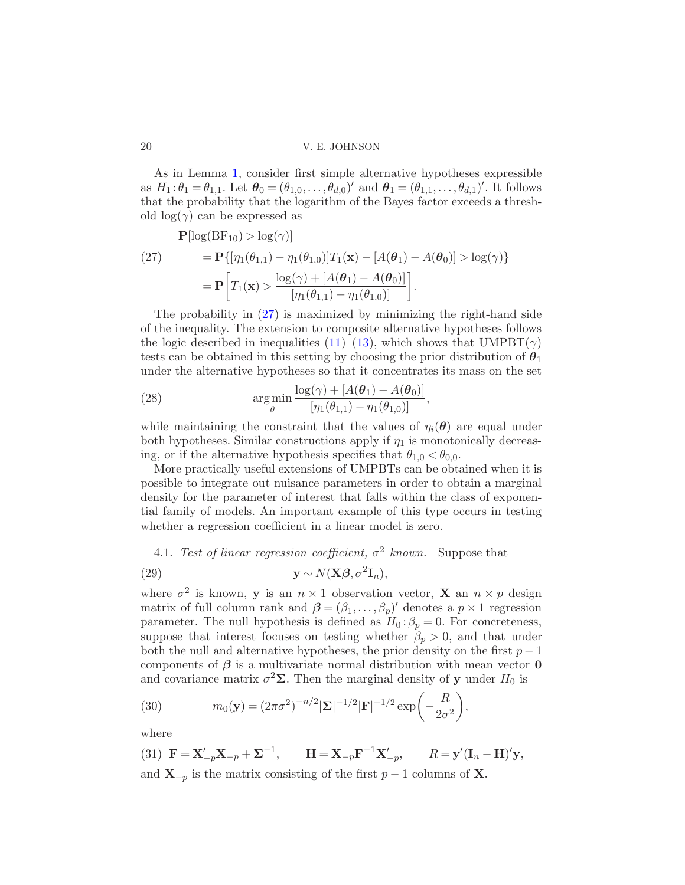As in Lemma [1,](#page-7-2) consider first simple alternative hypotheses expressible as  $H_1: \theta_1 = \theta_{1,1}$ . Let  $\boldsymbol{\theta}_0 = (\theta_{1,0}, \dots, \theta_{d,0})'$  and  $\boldsymbol{\theta}_1 = (\theta_{1,1}, \dots, \theta_{d,1})'$ . It follows that the probability that the logarithm of the Bayes factor exceeds a threshold  $log(\gamma)$  can be expressed as

<span id="page-19-0"></span>
$$
\begin{aligned} \mathbf{P}[\log(\text{BF}_{10}) > \log(\gamma)] \\ &= \mathbf{P}\{[\eta_1(\theta_{1,1}) - \eta_1(\theta_{1,0})]T_1(\mathbf{x}) - [A(\theta_1) - A(\theta_0)] > \log(\gamma)\} \\ &= \mathbf{P}\bigg[T_1(\mathbf{x}) > \frac{\log(\gamma) + [A(\theta_1) - A(\theta_0)]}{[\eta_1(\theta_{1,1}) - \eta_1(\theta_{1,0})]}\bigg]. \end{aligned}
$$

The probability in [\(27\)](#page-19-0) is maximized by minimizing the right-hand side of the inequality. The extension to composite alternative hypotheses follows the logic described in inequalities [\(11\)](#page-8-3)–[\(13\)](#page-8-4), which shows that  $\text{UMPBT}(\gamma)$ tests can be obtained in this setting by choosing the prior distribution of  $\theta_1$ under the alternative hypotheses so that it concentrates its mass on the set

(28) 
$$
\argmin_{\theta} \frac{\log(\gamma) + [A(\theta_1) - A(\theta_0)]}{[\eta_1(\theta_{1,1}) - \eta_1(\theta_{1,0})]},
$$

while maintaining the constraint that the values of  $\eta_i(\boldsymbol{\theta})$  are equal under both hypotheses. Similar constructions apply if  $\eta_1$  is monotonically decreasing, or if the alternative hypothesis specifies that  $\theta_{1,0} < \theta_{0,0}$ .

More practically useful extensions of UMPBTs can be obtained when it is possible to integrate out nuisance parameters in order to obtain a marginal density for the parameter of interest that falls within the class of exponential family of models. An important example of this type occurs in testing whether a regression coefficient in a linear model is zero.

# <span id="page-19-1"></span>4.1. Test of linear regression coefficient,  $\sigma^2$  known. Suppose that (29)  $\mathbf{y} \sim N(\mathbf{X}\boldsymbol{\beta}, \sigma^2 \mathbf{I}_n),$

where  $\sigma^2$  is known, y is an  $n \times 1$  observation vector, X an  $n \times p$  design matrix of full column rank and  $\beta = (\beta_1, \dots, \beta_p)'$  denotes a  $p \times 1$  regression parameter. The null hypothesis is defined as  $H_0: \beta_p = 0$ . For concreteness, suppose that interest focuses on testing whether  $\beta_p > 0$ , and that under both the null and alternative hypotheses, the prior density on the first  $p-1$ components of  $\beta$  is a multivariate normal distribution with mean vector **0** and covariance matrix  $\sigma^2 \Sigma$ . Then the marginal density of y under  $H_0$  is

(30) 
$$
m_0(\mathbf{y}) = (2\pi\sigma^2)^{-n/2} |\mathbf{\Sigma}|^{-1/2} |\mathbf{F}|^{-1/2} \exp\left(-\frac{R}{2\sigma^2}\right),
$$

where

<span id="page-19-2"></span>(31)  $\mathbf{F} = \mathbf{X}_{-p}' \mathbf{X}_{-p} + \Sigma^{-1}$ ,  $\mathbf{H} = \mathbf{X}_{-p} \mathbf{F}^{-1} \mathbf{X}_{-p}'$ ,  $R = \mathbf{y}' (\mathbf{I}_n - \mathbf{H})' \mathbf{y}$ , and  $X_{-p}$  is the matrix consisting of the first  $p-1$  columns of X.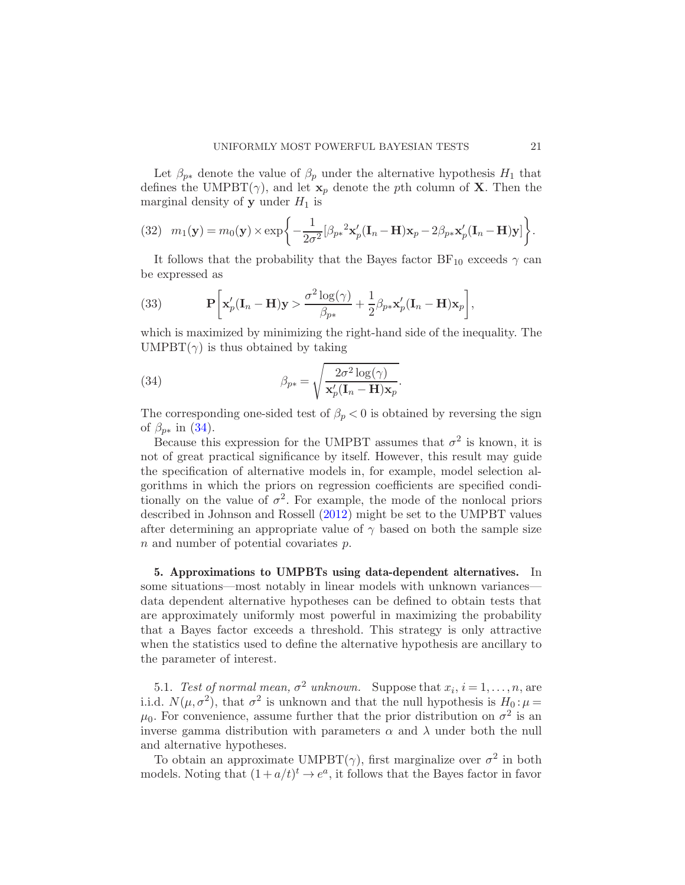Let  $\beta_{p*}$  denote the value of  $\beta_p$  under the alternative hypothesis  $H_1$  that defines the UMPBT( $\gamma$ ), and let  $\mathbf{x}_p$  denote the pth column of **X**. Then the marginal density of **y** under  $H_1$  is

(32) 
$$
m_1(\mathbf{y}) = m_0(\mathbf{y}) \times \exp\left\{-\frac{1}{2\sigma^2} [\beta_{p*}^2 \mathbf{x}_p'(\mathbf{I}_n - \mathbf{H}) \mathbf{x}_p - 2\beta_{p*} \mathbf{x}_p'(\mathbf{I}_n - \mathbf{H}) \mathbf{y}] \right\}.
$$

It follows that the probability that the Bayes factor  $BF_{10}$  exceeds  $\gamma$  can be expressed as

(33) 
$$
\mathbf{P}\bigg[\mathbf{x}'_p(\mathbf{I}_n - \mathbf{H})\mathbf{y} > \frac{\sigma^2 \log(\gamma)}{\beta_{p*}} + \frac{1}{2}\beta_{p*}\mathbf{x}'_p(\mathbf{I}_n - \mathbf{H})\mathbf{x}_p\bigg],
$$

which is maximized by minimizing the right-hand side of the inequality. The  $UMPBT(\gamma)$  is thus obtained by taking

<span id="page-20-1"></span>(34) 
$$
\beta_{p*} = \sqrt{\frac{2\sigma^2 \log(\gamma)}{\mathbf{x}_p'(\mathbf{I}_n - \mathbf{H})\mathbf{x}_p}}.
$$

The corresponding one-sided test of  $\beta_p < 0$  is obtained by reversing the sign of  $\beta_{p*}$  in [\(34\)](#page-20-1).

Because this expression for the UMPBT assumes that  $\sigma^2$  is known, it is not of great practical significance by itself. However, this result may guide the specification of alternative models in, for example, model selection algorithms in which the priors on regression coefficients are specified conditionally on the value of  $\sigma^2$ . For example, the mode of the nonlocal priors described in Johnson and Rossell [\(2012\)](#page-25-14) might be set to the UMPBT values after determining an appropriate value of  $\gamma$  based on both the sample size n and number of potential covariates p.

<span id="page-20-0"></span>5. Approximations to UMPBTs using data-dependent alternatives. In some situations—most notably in linear models with unknown variances data dependent alternative hypotheses can be defined to obtain tests that are approximately uniformly most powerful in maximizing the probability that a Bayes factor exceeds a threshold. This strategy is only attractive when the statistics used to define the alternative hypothesis are ancillary to the parameter of interest.

5.1. Test of normal mean,  $\sigma^2$  unknown. Suppose that  $x_i$ ,  $i = 1, ..., n$ , are i.i.d.  $N(\mu, \sigma^2)$ , that  $\sigma^2$  is unknown and that the null hypothesis is  $H_0: \mu =$  $\mu_0$ . For convenience, assume further that the prior distribution on  $\sigma^2$  is an inverse gamma distribution with parameters  $\alpha$  and  $\lambda$  under both the null and alternative hypotheses.

To obtain an approximate UMPBT( $\gamma$ ), first marginalize over  $\sigma^2$  in both models. Noting that  $(1 + a/t)^t \to e^a$ , it follows that the Bayes factor in favor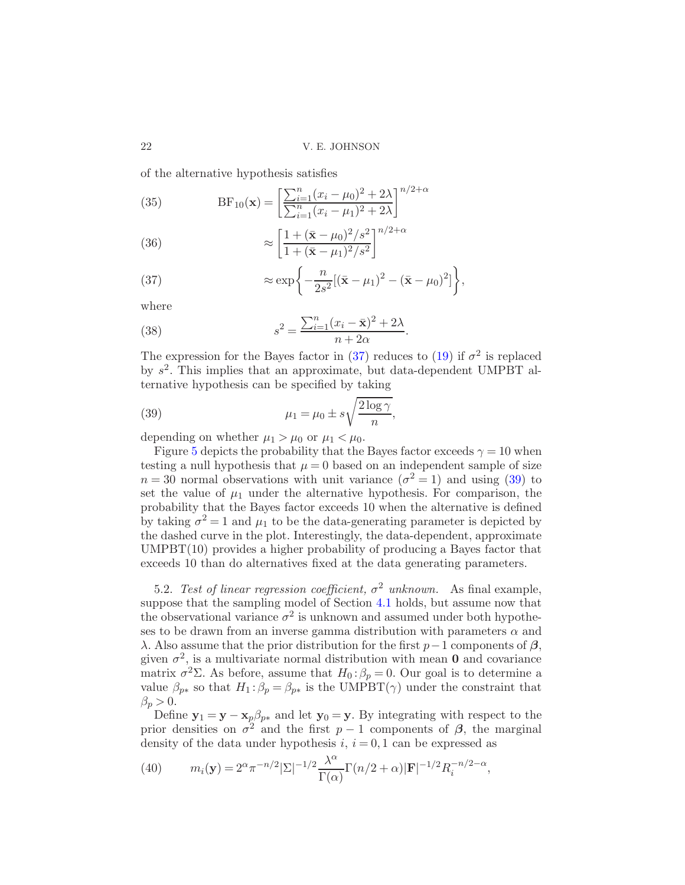of the alternative hypothesis satisfies

<span id="page-21-0"></span>(35) 
$$
BF_{10}(\mathbf{x}) = \left[\frac{\sum_{i=1}^{n} (x_i - \mu_0)^2 + 2\lambda}{\sum_{i=1}^{n} (x_i - \mu_1)^2 + 2\lambda}\right]^{n/2 + \alpha}
$$

(36) 
$$
\approx \left[\frac{1+(\bar{\mathbf{x}}-\mu_0)^2/s^2}{1+(\bar{\mathbf{x}}-\mu_1)^2/s^2}\right]^{n/2+\alpha}
$$

(37) 
$$
\approx \exp\bigg\{-\frac{n}{2s^2}[(\bar{\mathbf{x}}-\mu_1)^2-(\bar{\mathbf{x}}-\mu_0)^2]\bigg\},\,
$$

where

(38) 
$$
s^{2} = \frac{\sum_{i=1}^{n} (x_{i} - \bar{\mathbf{x}})^{2} + 2\lambda}{n + 2\alpha}.
$$

The expression for the Bayes factor in [\(37\)](#page-21-0) reduces to [\(19\)](#page-14-0) if  $\sigma^2$  is replaced by s 2 . This implies that an approximate, but data-dependent UMPBT alternative hypothesis can be specified by taking

<span id="page-21-1"></span>(39) 
$$
\mu_1 = \mu_0 \pm s \sqrt{\frac{2 \log \gamma}{n}},
$$

depending on whether  $\mu_1 > \mu_0$  or  $\mu_1 < \mu_0$ .

Figure [5](#page-22-0) depicts the probability that the Bayes factor exceeds  $\gamma = 10$  when testing a null hypothesis that  $\mu = 0$  based on an independent sample of size  $n = 30$  normal observations with unit variance  $(\sigma^2 = 1)$  and using [\(39\)](#page-21-1) to set the value of  $\mu_1$  under the alternative hypothesis. For comparison, the probability that the Bayes factor exceeds 10 when the alternative is defined by taking  $\sigma^2 = 1$  and  $\mu_1$  to be the data-generating parameter is depicted by the dashed curve in the plot. Interestingly, the data-dependent, approximate UMPBT(10) provides a higher probability of producing a Bayes factor that exceeds 10 than do alternatives fixed at the data generating parameters.

5.2. Test of linear regression coefficient,  $\sigma^2$  unknown. As final example, suppose that the sampling model of Section [4.1](#page-19-1) holds, but assume now that the observational variance  $\sigma^2$  is unknown and assumed under both hypotheses to be drawn from an inverse gamma distribution with parameters  $\alpha$  and λ. Also assume that the prior distribution for the first  $p-1$  components of β, given  $\sigma^2$ , is a multivariate normal distribution with mean 0 and covariance matrix  $\sigma^2 \Sigma$ . As before, assume that  $H_0: \beta_p = 0$ . Our goal is to determine a value  $\beta_{p*}$  so that  $H_1: \beta_p = \beta_{p*}$  is the UMPBT( $\gamma$ ) under the constraint that  $\beta_p > 0$ .

Define  $\mathbf{y}_1 = \mathbf{y} - \mathbf{x}_p \beta_{p*}$  and let  $\mathbf{y}_0 = \mathbf{y}$ . By integrating with respect to the prior densities on  $\sigma^2$  and the first  $p-1$  components of  $\beta$ , the marginal density of the data under hypothesis  $i, i = 0, 1$  can be expressed as

(40) 
$$
m_i(\mathbf{y}) = 2^{\alpha} \pi^{-n/2} |\Sigma|^{-1/2} \frac{\lambda^{\alpha}}{\Gamma(\alpha)} \Gamma(n/2 + \alpha) |\mathbf{F}|^{-1/2} R_i^{-n/2 - \alpha},
$$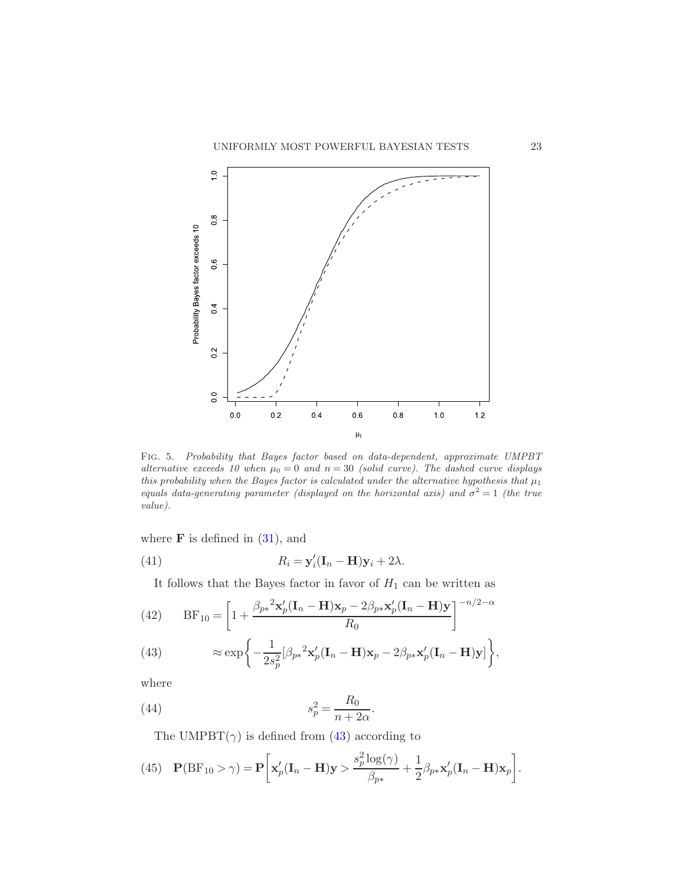

<span id="page-22-0"></span>Fig. 5. *Probability that Bayes factor based on data-dependent, approximate UMPBT alternative exceeds 10 when*  $\mu_0 = 0$  *and*  $n = 30$  *(solid curve). The dashed curve displays this probability when the Bayes factor is calculated under the alternative hypothesis that*  $\mu_1$ *equals data-generating parameter (displayed on the horizontal axis) and*  $\sigma^2 = 1$  *(the true value).*

where  $\bf{F}$  is defined in [\(31\)](#page-19-2), and

(41) 
$$
R_i = \mathbf{y}_i'(\mathbf{I}_n - \mathbf{H})\mathbf{y}_i + 2\lambda.
$$

It follows that the Bayes factor in favor of  $H_1$  can be written as

<span id="page-22-1"></span>(42) 
$$
\text{BF}_{10} = \left[1 + \frac{\beta_{p*}^2 \mathbf{x}_p'(\mathbf{I}_n - \mathbf{H}) \mathbf{x}_p - 2\beta_{p*} \mathbf{x}_p'(\mathbf{I}_n - \mathbf{H}) \mathbf{y}}{R_0}\right]^{-n/2 - \alpha}
$$

(43) 
$$
\approx \exp\bigg\{-\frac{1}{2s_p^2}[\beta_{p*}^2\mathbf{x}_p'(\mathbf{I}_n-\mathbf{H})\mathbf{x}_p-2\beta_{p*}\mathbf{x}_p'(\mathbf{I}_n-\mathbf{H})\mathbf{y}]\bigg\},
$$

where

$$
(44) \t\t s_p^2 = \frac{R_0}{n + 2\alpha}.
$$

The UMPBT( $\gamma$ ) is defined from [\(43\)](#page-22-1) according to

(45) 
$$
\mathbf{P}(\text{BF}_{10} > \gamma) = \mathbf{P}\bigg[\mathbf{x}_p'(\mathbf{I}_n - \mathbf{H})\mathbf{y} > \frac{s_p^2 \log(\gamma)}{\beta_{p*}} + \frac{1}{2}\beta_{p*}\mathbf{x}_p'(\mathbf{I}_n - \mathbf{H})\mathbf{x}_p\bigg].
$$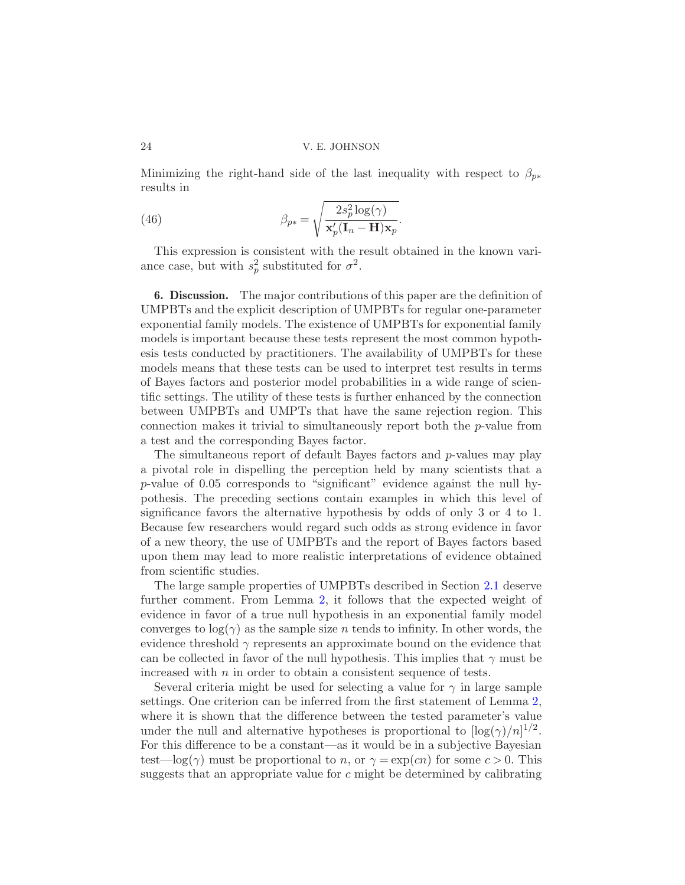Minimizing the right-hand side of the last inequality with respect to  $\beta_{n*}$ results in

(46) 
$$
\beta_{p*} = \sqrt{\frac{2s_p^2 \log(\gamma)}{\mathbf{x}_p'(\mathbf{I}_n - \mathbf{H})\mathbf{x}_p}}.
$$

This expression is consistent with the result obtained in the known variance case, but with  $s_p^2$  substituted for  $\sigma^2$ .

<span id="page-23-0"></span>6. Discussion. The major contributions of this paper are the definition of UMPBTs and the explicit description of UMPBTs for regular one-parameter exponential family models. The existence of UMPBTs for exponential family models is important because these tests represent the most common hypothesis tests conducted by practitioners. The availability of UMPBTs for these models means that these tests can be used to interpret test results in terms of Bayes factors and posterior model probabilities in a wide range of scientific settings. The utility of these tests is further enhanced by the connection between UMPBTs and UMPTs that have the same rejection region. This connection makes it trivial to simultaneously report both the p-value from a test and the corresponding Bayes factor.

The simultaneous report of default Bayes factors and p-values may play a pivotal role in dispelling the perception held by many scientists that a p-value of 0.05 corresponds to "significant" evidence against the null hypothesis. The preceding sections contain examples in which this level of significance favors the alternative hypothesis by odds of only 3 or 4 to 1. Because few researchers would regard such odds as strong evidence in favor of a new theory, the use of UMPBTs and the report of Bayes factors based upon them may lead to more realistic interpretations of evidence obtained from scientific studies.

The large sample properties of UMPBTs described in Section [2.1](#page-8-0) deserve further comment. From Lemma [2,](#page-8-2) it follows that the expected weight of evidence in favor of a true null hypothesis in an exponential family model converges to  $log(\gamma)$  as the sample size n tends to infinity. In other words, the evidence threshold  $\gamma$  represents an approximate bound on the evidence that can be collected in favor of the null hypothesis. This implies that  $\gamma$  must be increased with n in order to obtain a consistent sequence of tests.

Several criteria might be used for selecting a value for  $\gamma$  in large sample settings. One criterion can be inferred from the first statement of Lemma [2,](#page-8-2) where it is shown that the difference between the tested parameter's value under the null and alternative hypotheses is proportional to  $[\log(\gamma)/n]^{1/2}$ . For this difference to be a constant—as it would be in a subjective Bayesian test—log( $\gamma$ ) must be proportional to n, or  $\gamma = \exp(cn)$  for some  $c > 0$ . This suggests that an appropriate value for  $c$  might be determined by calibrating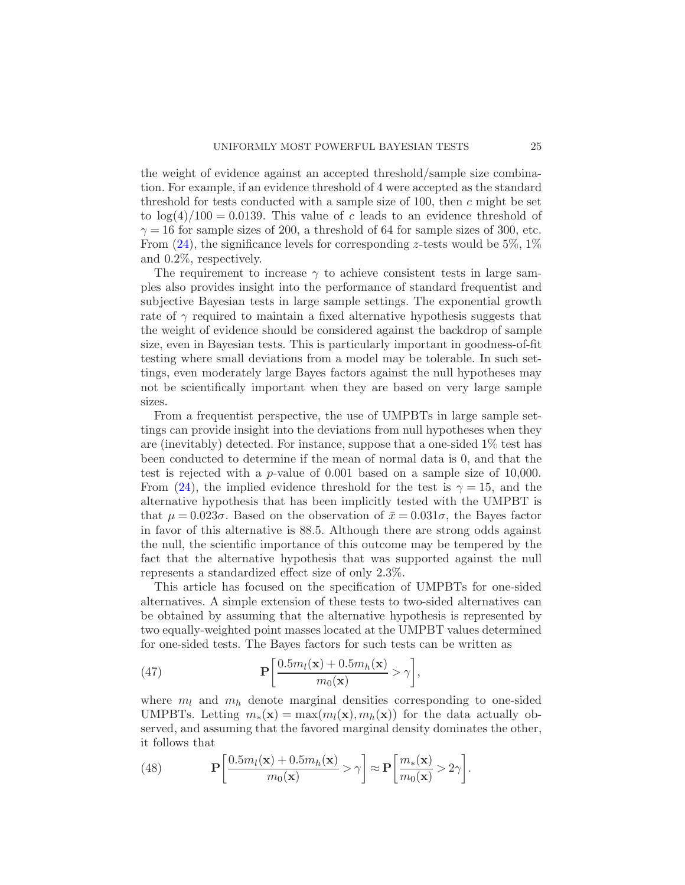the weight of evidence against an accepted threshold/sample size combination. For example, if an evidence threshold of 4 were accepted as the standard threshold for tests conducted with a sample size of  $100$ , then c might be set to  $\log(4)/100 = 0.0139$ . This value of c leads to an evidence threshold of  $\gamma = 16$  for sample sizes of 200, a threshold of 64 for sample sizes of 300, etc. From  $(24)$ , the significance levels for corresponding z-tests would be 5\%, 1\% and 0.2%, respectively.

The requirement to increase  $\gamma$  to achieve consistent tests in large samples also provides insight into the performance of standard frequentist and subjective Bayesian tests in large sample settings. The exponential growth rate of  $\gamma$  required to maintain a fixed alternative hypothesis suggests that the weight of evidence should be considered against the backdrop of sample size, even in Bayesian tests. This is particularly important in goodness-of-fit testing where small deviations from a model may be tolerable. In such settings, even moderately large Bayes factors against the null hypotheses may not be scientifically important when they are based on very large sample sizes.

From a frequentist perspective, the use of UMPBTs in large sample settings can provide insight into the deviations from null hypotheses when they are (inevitably) detected. For instance, suppose that a one-sided  $1\%$  test has been conducted to determine if the mean of normal data is 0, and that the test is rejected with a p-value of 0.001 based on a sample size of 10,000. From [\(24\)](#page-15-1), the implied evidence threshold for the test is  $\gamma = 15$ , and the alternative hypothesis that has been implicitly tested with the UMPBT is that  $\mu = 0.023\sigma$ . Based on the observation of  $\bar{x} = 0.031\sigma$ , the Bayes factor in favor of this alternative is 88.5. Although there are strong odds against the null, the scientific importance of this outcome may be tempered by the fact that the alternative hypothesis that was supported against the null represents a standardized effect size of only 2.3%.

This article has focused on the specification of UMPBTs for one-sided alternatives. A simple extension of these tests to two-sided alternatives can be obtained by assuming that the alternative hypothesis is represented by two equally-weighted point masses located at the UMPBT values determined for one-sided tests. The Bayes factors for such tests can be written as

(47) 
$$
\mathbf{P}\left[\frac{0.5m_l(\mathbf{x}) + 0.5m_h(\mathbf{x})}{m_0(\mathbf{x})} > \gamma\right],
$$

where  $m_l$  and  $m_h$  denote marginal densities corresponding to one-sided UMPBTs. Letting  $m_*(\mathbf{x}) = \max(m_l(\mathbf{x}), m_h(\mathbf{x}))$  for the data actually observed, and assuming that the favored marginal density dominates the other, it follows that

(48) 
$$
\mathbf{P}\left[\frac{0.5m_l(\mathbf{x}) + 0.5m_h(\mathbf{x})}{m_0(\mathbf{x})} > \gamma\right] \approx \mathbf{P}\left[\frac{m_*(\mathbf{x})}{m_0(\mathbf{x})} > 2\gamma\right].
$$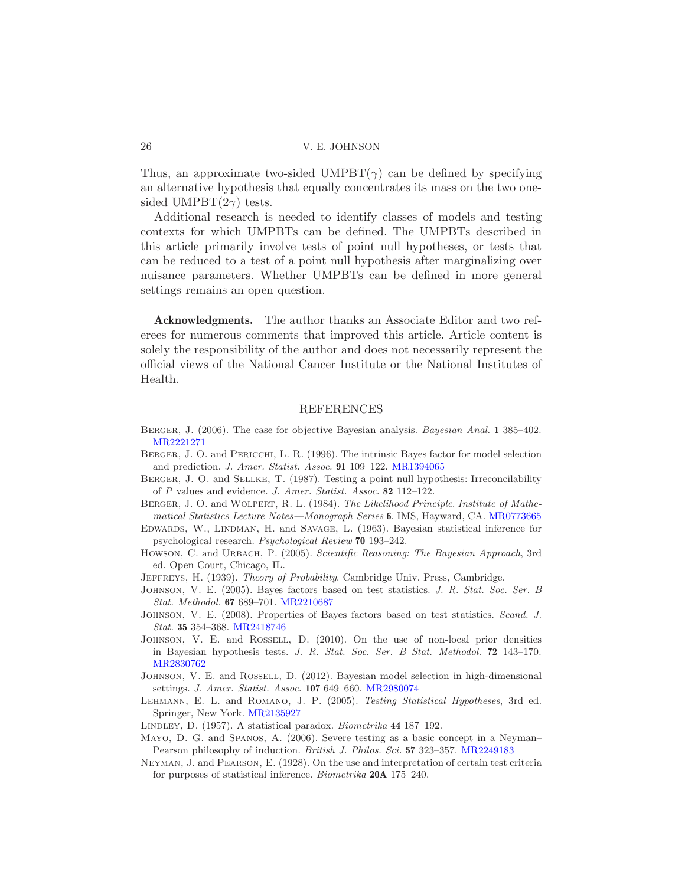Thus, an approximate two-sided UMPBT( $\gamma$ ) can be defined by specifying an alternative hypothesis that equally concentrates its mass on the two onesided UMPBT $(2\gamma)$  tests.

Additional research is needed to identify classes of models and testing contexts for which UMPBTs can be defined. The UMPBTs described in this article primarily involve tests of point null hypotheses, or tests that can be reduced to a test of a point null hypothesis after marginalizing over nuisance parameters. Whether UMPBTs can be defined in more general settings remains an open question.

Acknowledgments. The author thanks an Associate Editor and two referees for numerous comments that improved this article. Article content is solely the responsibility of the author and does not necessarily represent the official views of the National Cancer Institute or the National Institutes of Health.

#### REFERENCES

- <span id="page-25-7"></span>Berger, J. (2006). The case for objective Bayesian analysis. *Bayesian Anal.* 1 385–402. [MR2221271](http://www.ams.org/mathscinet-getitem?mr=2221271)
- <span id="page-25-8"></span>BERGER, J. O. and PERICCHI, L. R. (1996). The intrinsic Bayes factor for model selection and prediction. *J. Amer. Statist. Assoc.* 91 109–122. [MR1394065](http://www.ams.org/mathscinet-getitem?mr=1394065)
- <span id="page-25-12"></span>BERGER, J. O. and SELLKE, T. (1987). Testing a point null hypothesis: Irreconcilability of P values and evidence. *J. Amer. Statist. Assoc.* 82 112–122.
- <span id="page-25-5"></span>Berger, J. O. and Wolpert, R. L. (1984). *The Likelihood Principle*. *Institute of Mathematical Statistics Lecture Notes—Monograph Series* 6. IMS, Hayward, CA. [MR0773665](http://www.ams.org/mathscinet-getitem?mr=0773665)
- <span id="page-25-6"></span>Edwards, W., Lindman, H. and Savage, L. (1963). Bayesian statistical inference for psychological research. *Psychological Review* 70 193–242.
- <span id="page-25-4"></span>Howson, C. and Urbach, P. (2005). *Scientific Reasoning: The Bayesian Approach*, 3rd ed. Open Court, Chicago, IL.
- <span id="page-25-3"></span>Jeffreys, H. (1939). *Theory of Probability*. Cambridge Univ. Press, Cambridge.
- <span id="page-25-11"></span>Johnson, V. E. (2005). Bayes factors based on test statistics. *J. R. Stat. Soc. Ser. B Stat. Methodol.* 67 689–701. [MR2210687](http://www.ams.org/mathscinet-getitem?mr=2210687)
- <span id="page-25-13"></span>Johnson, V. E. (2008). Properties of Bayes factors based on test statistics. *Scand. J. Stat.* 35 354–368. [MR2418746](http://www.ams.org/mathscinet-getitem?mr=2418746)
- <span id="page-25-9"></span>Johnson, V. E. and Rossell, D. (2010). On the use of non-local prior densities in Bayesian hypothesis tests. *J. R. Stat. Soc. Ser. B Stat. Methodol.* 72 143–170. [MR2830762](http://www.ams.org/mathscinet-getitem?mr=2830762)
- <span id="page-25-14"></span>Johnson, V. E. and Rossell, D. (2012). Bayesian model selection in high-dimensional settings. *J. Amer. Statist. Assoc.* 107 649–660. [MR2980074](http://www.ams.org/mathscinet-getitem?mr=2980074)
- <span id="page-25-1"></span>Lehmann, E. L. and Romano, J. P. (2005). *Testing Statistical Hypotheses*, 3rd ed. Springer, New York. [MR2135927](http://www.ams.org/mathscinet-getitem?mr=2135927)
- <span id="page-25-10"></span>Lindley, D. (1957). A statistical paradox. *Biometrika* 44 187–192.
- <span id="page-25-2"></span>Mayo, D. G. and Spanos, A. (2006). Severe testing as a basic concept in a Neyman– Pearson philosophy of induction. *British J. Philos. Sci.* 57 323–357. [MR2249183](http://www.ams.org/mathscinet-getitem?mr=2249183)
- <span id="page-25-0"></span>Neyman, J. and Pearson, E. (1928). On the use and interpretation of certain test criteria for purposes of statistical inference. *Biometrika* 20A 175–240.